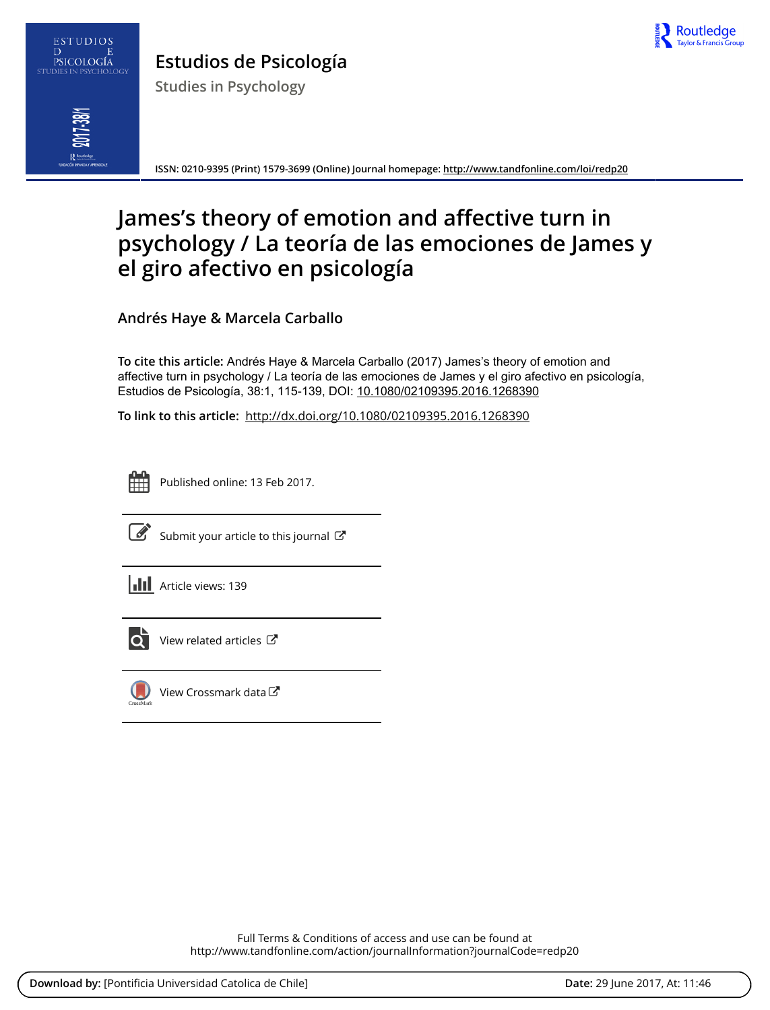

# ESTUDIOS  $\overline{D}$ PSICOLOGÍA

**Estudios de Psicología**

**Studies in Psychology**



**ISSN: 0210-9395 (Print) 1579-3699 (Online) Journal homepage:<http://www.tandfonline.com/loi/redp20>**

# **James's theory of emotion and affective turn in psychology / La teoría de las emociones de James y el giro afectivo en psicología**

**Andrés Haye & Marcela Carballo**

**To cite this article:** Andrés Haye & Marcela Carballo (2017) James's theory of emotion and affective turn in psychology / La teoría de las emociones de James y el giro afectivo en psicología, Estudios de Psicología, 38:1, 115-139, DOI: [10.1080/02109395.2016.1268390](http://www.tandfonline.com/action/showCitFormats?doi=10.1080/02109395.2016.1268390)

**To link to this article:** <http://dx.doi.org/10.1080/02109395.2016.1268390>



Published online: 13 Feb 2017.



 $\mathbb{Z}$  [Submit your article to this journal](http://www.tandfonline.com/action/authorSubmission?journalCode=redp20&show=instructions)  $\mathbb{Z}$ 





 $\overline{Q}$  [View related articles](http://www.tandfonline.com/doi/mlt/10.1080/02109395.2016.1268390)  $\overline{C}$ 



[View Crossmark data](http://crossmark.crossref.org/dialog/?doi=10.1080/02109395.2016.1268390&domain=pdf&date_stamp=2017-02-13) $G$ 

Full Terms & Conditions of access and use can be found at <http://www.tandfonline.com/action/journalInformation?journalCode=redp20>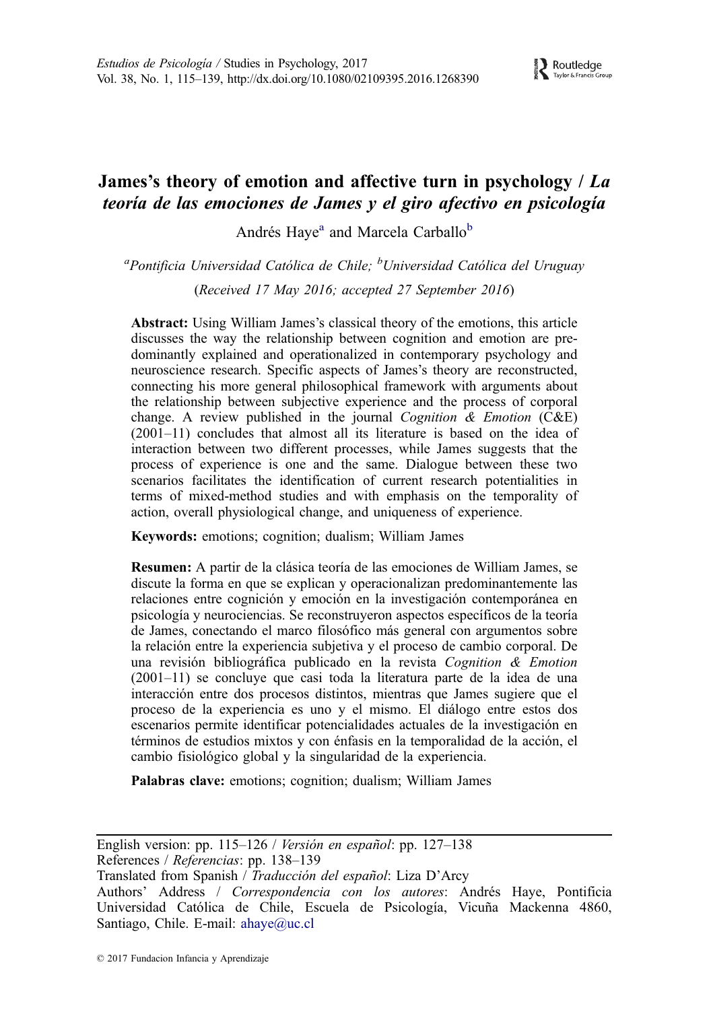# James's theory of emotion and affective turn in psychology  $/ La$ teoría de las emociones de James y el giro afectivo en psicología

Andrés Haye<sup>a</sup> and Marcela Carballo<sup>b</sup>

<sup>a</sup>Pontificia Universidad Católica de Chile; <sup>b</sup>Universidad Católica del Uruguay

(Received 17 May 2016; accepted 27 September 2016)

Abstract: Using William James's classical theory of the emotions, this article discusses the way the relationship between cognition and emotion are predominantly explained and operationalized in contemporary psychology and neuroscience research. Specific aspects of James's theory are reconstructed, connecting his more general philosophical framework with arguments about the relationship between subjective experience and the process of corporal change. A review published in the journal Cognition  $\&$  Emotion (C&E) (2001–11) concludes that almost all its literature is based on the idea of interaction between two different processes, while James suggests that the process of experience is one and the same. Dialogue between these two scenarios facilitates the identification of current research potentialities in terms of mixed-method studies and with emphasis on the temporality of action, overall physiological change, and uniqueness of experience.

Keywords: emotions; cognition; dualism; William James

Resumen: A partir de la clásica teoría de las emociones de William James, se discute la forma en que se explican y operacionalizan predominantemente las relaciones entre cognición y emoción en la investigación contemporánea en psicología y neurociencias. Se reconstruyeron aspectos específicos de la teoría de James, conectando el marco filosófico más general con argumentos sobre la relación entre la experiencia subjetiva y el proceso de cambio corporal. De una revisión bibliográfica publicado en la revista Cognition & Emotion (2001–11) se concluye que casi toda la literatura parte de la idea de una interacción entre dos procesos distintos, mientras que James sugiere que el proceso de la experiencia es uno y el mismo. El diálogo entre estos dos escenarios permite identificar potencialidades actuales de la investigación en términos de estudios mixtos y con énfasis en la temporalidad de la acción, el cambio fisiológico global y la singularidad de la experiencia.

Palabras clave: emotions; cognition; dualism; William James

English version: pp. 115–126 / Versión en español: pp. 127–138

References / Referencias: pp. 138-139

Translated from Spanish / Traducción del español: Liza D'Arcy

Authors' Address / Correspondencia con los autores: Andrés Haye, Pontificia Universidad Católica de Chile, Escuela de Psicología, Vicuña Mackenna 4860, Santiago, Chile. E-mail: ahaye@uc.cl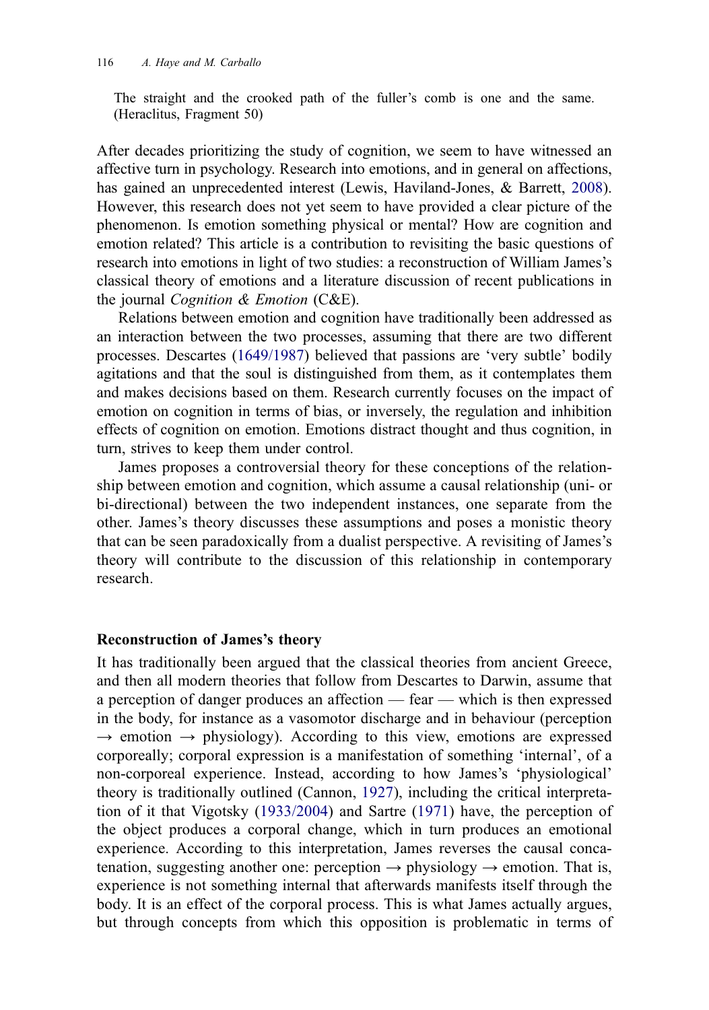<span id="page-2-0"></span>The straight and the crooked path of the fuller's comb is one and the same. (Heraclitus, Fragment 50)

After decades prioritizing the study of cognition, we seem to have witnessed an affective turn in psychology. Research into emotions, and in general on affections, has gained an unprecedented interest (Lewis, Haviland-Jones, & Barrett, [2008\)](#page-25-0). However, this research does not yet seem to have provided a clear picture of the phenomenon. Is emotion something physical or mental? How are cognition and emotion related? This article is a contribution to revisiting the basic questions of research into emotions in light of two studies: a reconstruction of William James's classical theory of emotions and a literature discussion of recent publications in the journal *Cognition*  $\&$  *Emotion* (C&E).

Relations between emotion and cognition have traditionally been addressed as an interaction between the two processes, assuming that there are two different processes. Descartes ([1649/1987\)](#page-24-0) believed that passions are 'very subtle' bodily agitations and that the soul is distinguished from them, as it contemplates them and makes decisions based on them. Research currently focuses on the impact of emotion on cognition in terms of bias, or inversely, the regulation and inhibition effects of cognition on emotion. Emotions distract thought and thus cognition, in turn, strives to keep them under control.

James proposes a controversial theory for these conceptions of the relationship between emotion and cognition, which assume a causal relationship (uni- or bi-directional) between the two independent instances, one separate from the other. James's theory discusses these assumptions and poses a monistic theory that can be seen paradoxically from a dualist perspective. A revisiting of James's theory will contribute to the discussion of this relationship in contemporary research.

#### Reconstruction of James's theory

It has traditionally been argued that the classical theories from ancient Greece, and then all modern theories that follow from Descartes to Darwin, assume that a perception of danger produces an affection — fear — which is then expressed in the body, for instance as a vasomotor discharge and in behaviour (perception  $\rightarrow$  emotion  $\rightarrow$  physiology). According to this view, emotions are expressed corporeally; corporal expression is a manifestation of something 'internal', of a non-corporeal experience. Instead, according to how James's 'physiological' theory is traditionally outlined (Cannon, [1927\)](#page-24-0), including the critical interpretation of it that Vigotsky ([1933/2004](#page-25-0)) and Sartre [\(1971\)](#page-25-0) have, the perception of the object produces a corporal change, which in turn produces an emotional experience. According to this interpretation, James reverses the causal concatenation, suggesting another one: perception  $\rightarrow$  physiology  $\rightarrow$  emotion. That is, experience is not something internal that afterwards manifests itself through the body. It is an effect of the corporal process. This is what James actually argues, but through concepts from which this opposition is problematic in terms of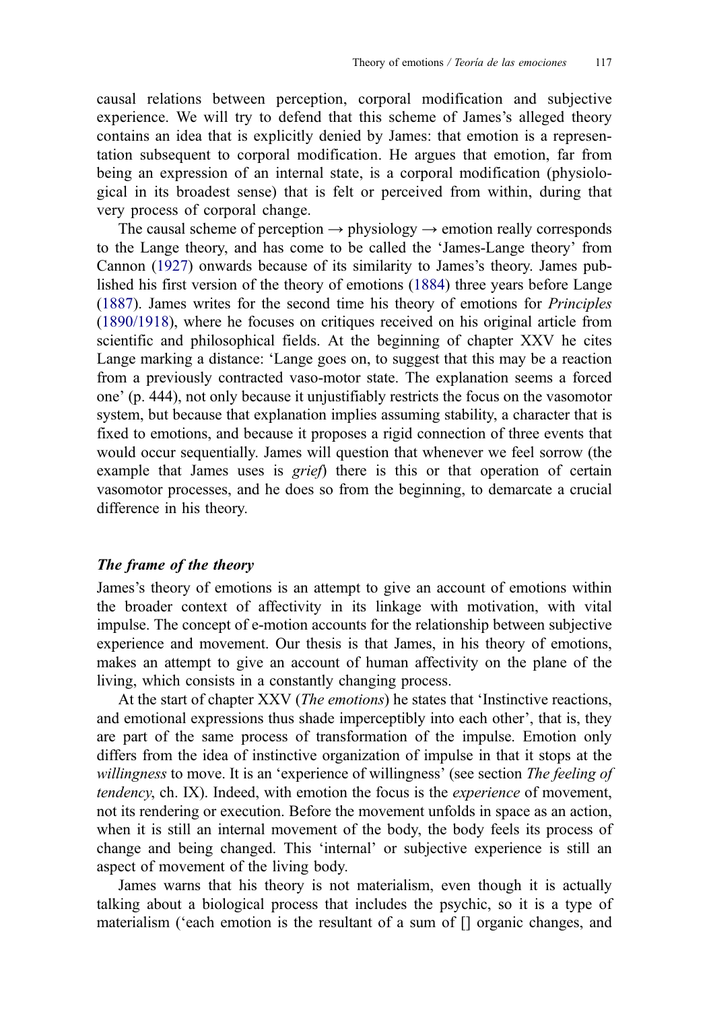<span id="page-3-0"></span>causal relations between perception, corporal modification and subjective experience. We will try to defend that this scheme of James's alleged theory contains an idea that is explicitly denied by James: that emotion is a representation subsequent to corporal modification. He argues that emotion, far from being an expression of an internal state, is a corporal modification (physiological in its broadest sense) that is felt or perceived from within, during that very process of corporal change.

The causal scheme of perception  $\rightarrow$  physiology  $\rightarrow$  emotion really corresponds to the Lange theory, and has come to be called the 'James-Lange theory' from Cannon [\(1927\)](#page-24-0) onwards because of its similarity to James's theory. James published his first version of the theory of emotions ([1884\)](#page-25-0) three years before Lange ([1887\)](#page-25-0). James writes for the second time his theory of emotions for Principles ([1890/1918\)](#page-25-0), where he focuses on critiques received on his original article from scientific and philosophical fields. At the beginning of chapter XXV he cites Lange marking a distance: 'Lange goes on, to suggest that this may be a reaction from a previously contracted vaso-motor state. The explanation seems a forced one' (p. 444), not only because it unjustifiably restricts the focus on the vasomotor system, but because that explanation implies assuming stability, a character that is fixed to emotions, and because it proposes a rigid connection of three events that would occur sequentially. James will question that whenever we feel sorrow (the example that James uses is *grief*) there is this or that operation of certain vasomotor processes, and he does so from the beginning, to demarcate a crucial difference in his theory.

# The frame of the theory

James's theory of emotions is an attempt to give an account of emotions within the broader context of affectivity in its linkage with motivation, with vital impulse. The concept of e-motion accounts for the relationship between subjective experience and movement. Our thesis is that James, in his theory of emotions, makes an attempt to give an account of human affectivity on the plane of the living, which consists in a constantly changing process.

At the start of chapter XXV (*The emotions*) he states that 'Instinctive reactions, and emotional expressions thus shade imperceptibly into each other', that is, they are part of the same process of transformation of the impulse. Emotion only differs from the idea of instinctive organization of impulse in that it stops at the willingness to move. It is an 'experience of willingness' (see section The feeling of tendency, ch. IX). Indeed, with emotion the focus is the experience of movement, not its rendering or execution. Before the movement unfolds in space as an action, when it is still an internal movement of the body, the body feels its process of change and being changed. This 'internal' or subjective experience is still an aspect of movement of the living body.

James warns that his theory is not materialism, even though it is actually talking about a biological process that includes the psychic, so it is a type of materialism ('each emotion is the resultant of a sum of [] organic changes, and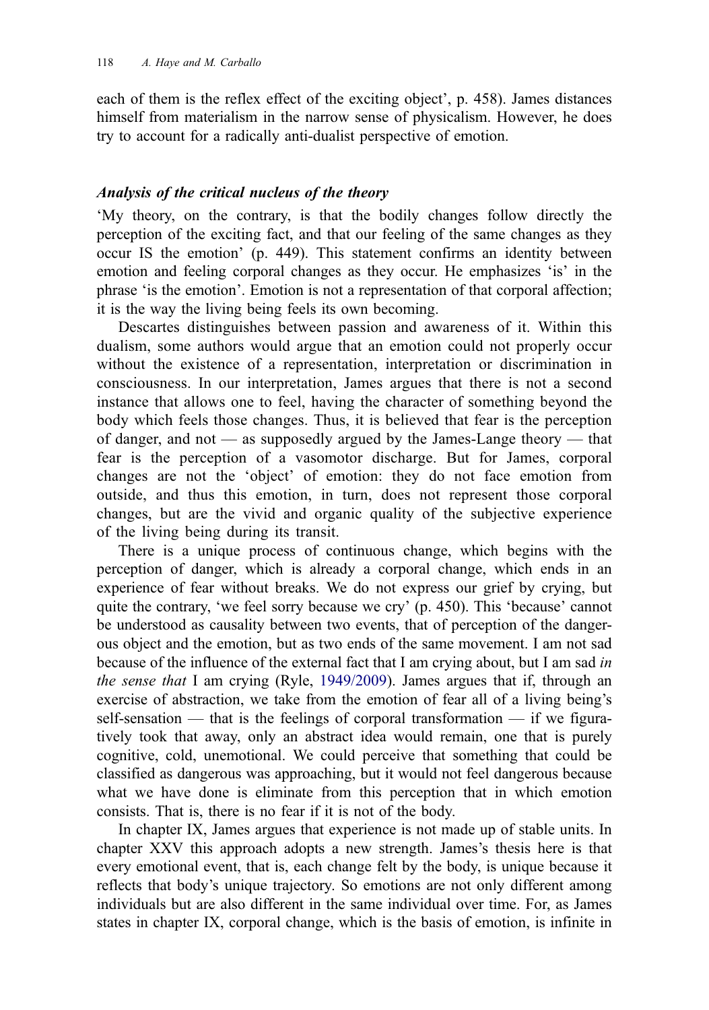<span id="page-4-0"></span>each of them is the reflex effect of the exciting object', p. 458). James distances himself from materialism in the narrow sense of physicalism. However, he does try to account for a radically anti-dualist perspective of emotion.

# Analysis of the critical nucleus of the theory

'My theory, on the contrary, is that the bodily changes follow directly the perception of the exciting fact, and that our feeling of the same changes as they occur IS the emotion' (p. 449). This statement confirms an identity between emotion and feeling corporal changes as they occur. He emphasizes 'is' in the phrase 'is the emotion'. Emotion is not a representation of that corporal affection; it is the way the living being feels its own becoming.

Descartes distinguishes between passion and awareness of it. Within this dualism, some authors would argue that an emotion could not properly occur without the existence of a representation, interpretation or discrimination in consciousness. In our interpretation, James argues that there is not a second instance that allows one to feel, having the character of something beyond the body which feels those changes. Thus, it is believed that fear is the perception of danger, and not — as supposedly argued by the James-Lange theory — that fear is the perception of a vasomotor discharge. But for James, corporal changes are not the 'object' of emotion: they do not face emotion from outside, and thus this emotion, in turn, does not represent those corporal changes, but are the vivid and organic quality of the subjective experience of the living being during its transit.

There is a unique process of continuous change, which begins with the perception of danger, which is already a corporal change, which ends in an experience of fear without breaks. We do not express our grief by crying, but quite the contrary, 'we feel sorry because we cry' (p. 450). This 'because' cannot be understood as causality between two events, that of perception of the dangerous object and the emotion, but as two ends of the same movement. I am not sad because of the influence of the external fact that I am crying about, but I am sad in the sense that I am crying (Ryle, [1949/2009](#page-25-0)). James argues that if, through an exercise of abstraction, we take from the emotion of fear all of a living being's self-sensation — that is the feelings of corporal transformation — if we figuratively took that away, only an abstract idea would remain, one that is purely cognitive, cold, unemotional. We could perceive that something that could be classified as dangerous was approaching, but it would not feel dangerous because what we have done is eliminate from this perception that in which emotion consists. That is, there is no fear if it is not of the body.

In chapter IX, James argues that experience is not made up of stable units. In chapter XXV this approach adopts a new strength. James's thesis here is that every emotional event, that is, each change felt by the body, is unique because it reflects that body's unique trajectory. So emotions are not only different among individuals but are also different in the same individual over time. For, as James states in chapter IX, corporal change, which is the basis of emotion, is infinite in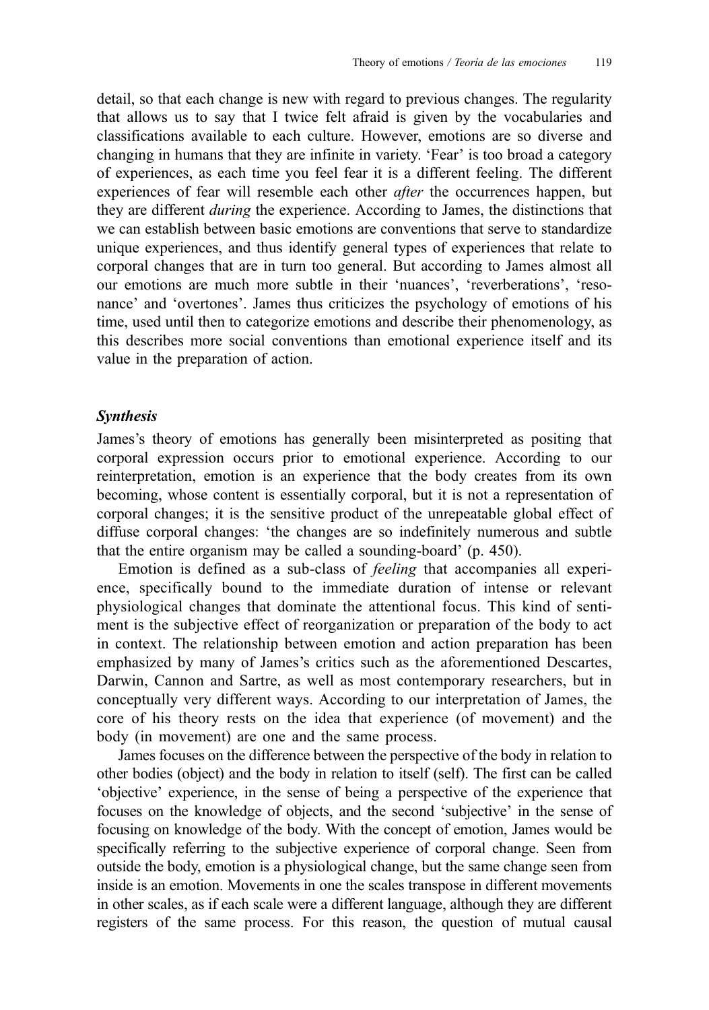detail, so that each change is new with regard to previous changes. The regularity that allows us to say that I twice felt afraid is given by the vocabularies and classifications available to each culture. However, emotions are so diverse and changing in humans that they are infinite in variety. 'Fear' is too broad a category of experiences, as each time you feel fear it is a different feeling. The different experiences of fear will resemble each other *after* the occurrences happen, but they are different *during* the experience. According to James, the distinctions that we can establish between basic emotions are conventions that serve to standardize unique experiences, and thus identify general types of experiences that relate to corporal changes that are in turn too general. But according to James almost all our emotions are much more subtle in their 'nuances', 'reverberations', 'resonance' and 'overtones'. James thus criticizes the psychology of emotions of his time, used until then to categorize emotions and describe their phenomenology, as this describes more social conventions than emotional experience itself and its value in the preparation of action.

### Synthesis

James's theory of emotions has generally been misinterpreted as positing that corporal expression occurs prior to emotional experience. According to our reinterpretation, emotion is an experience that the body creates from its own becoming, whose content is essentially corporal, but it is not a representation of corporal changes; it is the sensitive product of the unrepeatable global effect of diffuse corporal changes: 'the changes are so indefinitely numerous and subtle that the entire organism may be called a sounding-board' (p. 450).

Emotion is defined as a sub-class of feeling that accompanies all experience, specifically bound to the immediate duration of intense or relevant physiological changes that dominate the attentional focus. This kind of sentiment is the subjective effect of reorganization or preparation of the body to act in context. The relationship between emotion and action preparation has been emphasized by many of James's critics such as the aforementioned Descartes, Darwin, Cannon and Sartre, as well as most contemporary researchers, but in conceptually very different ways. According to our interpretation of James, the core of his theory rests on the idea that experience (of movement) and the body (in movement) are one and the same process.

James focuses on the difference between the perspective of the body in relation to other bodies (object) and the body in relation to itself (self). The first can be called 'objective' experience, in the sense of being a perspective of the experience that focuses on the knowledge of objects, and the second 'subjective' in the sense of focusing on knowledge of the body. With the concept of emotion, James would be specifically referring to the subjective experience of corporal change. Seen from outside the body, emotion is a physiological change, but the same change seen from inside is an emotion. Movements in one the scales transpose in different movements in other scales, as if each scale were a different language, although they are different registers of the same process. For this reason, the question of mutual causal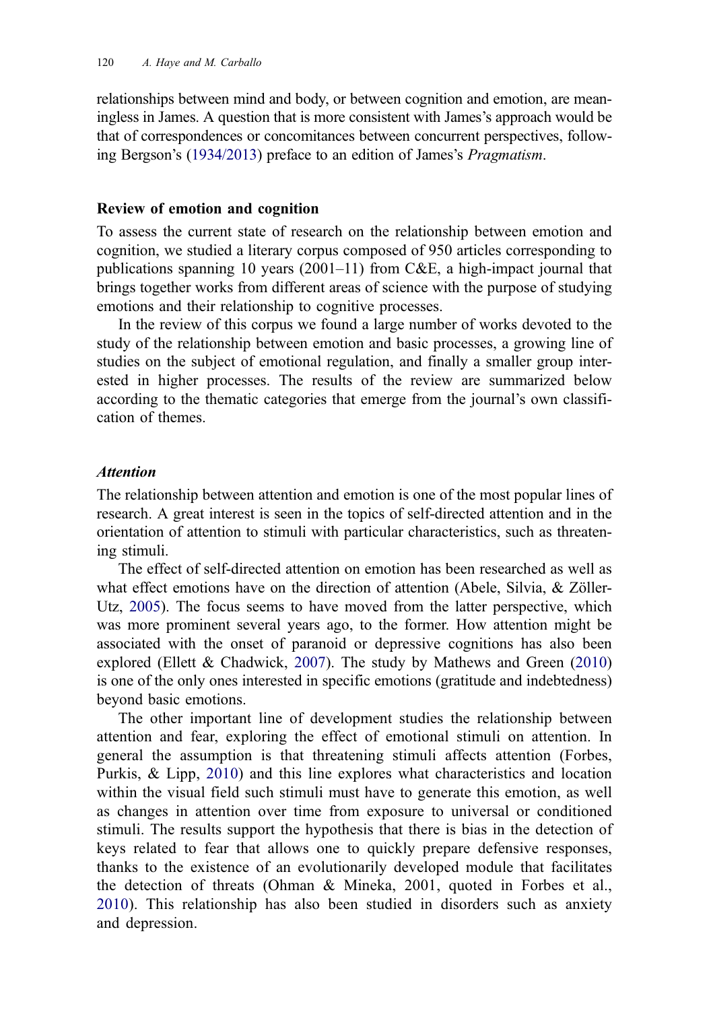<span id="page-6-0"></span>relationships between mind and body, or between cognition and emotion, are meaningless in James. A question that is more consistent with James's approach would be that of correspondences or concomitances between concurrent perspectives, following Bergson's [\(1934/2013\)](#page-24-0) preface to an edition of James's Pragmatism.

#### Review of emotion and cognition

To assess the current state of research on the relationship between emotion and cognition, we studied a literary corpus composed of 950 articles corresponding to publications spanning 10 years  $(2001-11)$  from C&E, a high-impact journal that brings together works from different areas of science with the purpose of studying emotions and their relationship to cognitive processes.

In the review of this corpus we found a large number of works devoted to the study of the relationship between emotion and basic processes, a growing line of studies on the subject of emotional regulation, and finally a smaller group interested in higher processes. The results of the review are summarized below according to the thematic categories that emerge from the journal's own classification of themes.

#### Attention

The relationship between attention and emotion is one of the most popular lines of research. A great interest is seen in the topics of self-directed attention and in the orientation of attention to stimuli with particular characteristics, such as threatening stimuli.

The effect of self-directed attention on emotion has been researched as well as what effect emotions have on the direction of attention (Abele, Silvia, & Zöller-Utz, [2005\)](#page-24-0). The focus seems to have moved from the latter perspective, which was more prominent several years ago, to the former. How attention might be associated with the onset of paranoid or depressive cognitions has also been explored (Ellett & Chadwick, [2007\)](#page-24-0). The study by Mathews and Green ([2010](#page-25-0)) is one of the only ones interested in specific emotions (gratitude and indebtedness) beyond basic emotions.

The other important line of development studies the relationship between attention and fear, exploring the effect of emotional stimuli on attention. In general the assumption is that threatening stimuli affects attention (Forbes, Purkis, & Lipp, [2010\)](#page-24-0) and this line explores what characteristics and location within the visual field such stimuli must have to generate this emotion, as well as changes in attention over time from exposure to universal or conditioned stimuli. The results support the hypothesis that there is bias in the detection of keys related to fear that allows one to quickly prepare defensive responses, thanks to the existence of an evolutionarily developed module that facilitates the detection of threats (Ohman & Mineka, 2001, quoted in Forbes et al., [2010\)](#page-24-0). This relationship has also been studied in disorders such as anxiety and depression.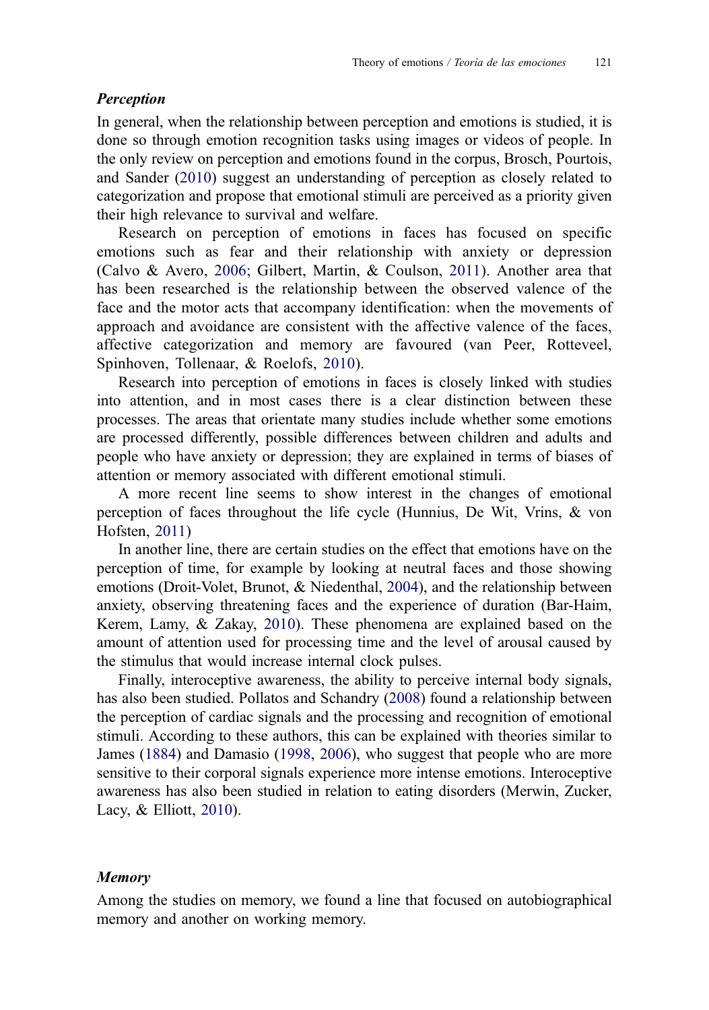# <span id="page-7-0"></span>Perception

In general, when the relationship between perception and emotions is studied, it is done so through emotion recognition tasks using images or videos of people. In the only review on perception and emotions found in the corpus, Brosch, Pourtois, and Sander [\(2010](#page-24-0)) suggest an understanding of perception as closely related to categorization and propose that emotional stimuli are perceived as a priority given their high relevance to survival and welfare.

Research on perception of emotions in faces has focused on specific emotions such as fear and their relationship with anxiety or depression (Calvo & Avero, [2006;](#page-24-0) Gilbert, Martin, & Coulson, [2011\)](#page-25-0). Another area that has been researched is the relationship between the observed valence of the face and the motor acts that accompany identification: when the movements of approach and avoidance are consistent with the affective valence of the faces, affective categorization and memory are favoured (van Peer, Rotteveel, Spinhoven, Tollenaar, & Roelofs, [2010](#page-25-0)).

Research into perception of emotions in faces is closely linked with studies into attention, and in most cases there is a clear distinction between these processes. The areas that orientate many studies include whether some emotions are processed differently, possible differences between children and adults and people who have anxiety or depression; they are explained in terms of biases of attention or memory associated with different emotional stimuli.

A more recent line seems to show interest in the changes of emotional perception of faces throughout the life cycle (Hunnius, De Wit, Vrins, & von Hofsten, [2011](#page-25-0))

In another line, there are certain studies on the effect that emotions have on the perception of time, for example by looking at neutral faces and those showing emotions (Droit-Volet, Brunot, & Niedenthal, [2004](#page-24-0)), and the relationship between anxiety, observing threatening faces and the experience of duration (Bar-Haim, Kerem, Lamy, & Zakay, [2010\)](#page-24-0). These phenomena are explained based on the amount of attention used for processing time and the level of arousal caused by the stimulus that would increase internal clock pulses.

Finally, interoceptive awareness, the ability to perceive internal body signals, has also been studied. Pollatos and Schandry ([2008\)](#page-25-0) found a relationship between the perception of cardiac signals and the processing and recognition of emotional stimuli. According to these authors, this can be explained with theories similar to James ([1884\)](#page-25-0) and Damasio ([1998](#page-24-0), [2006\)](#page-24-0), who suggest that people who are more sensitive to their corporal signals experience more intense emotions. Interoceptive awareness has also been studied in relation to eating disorders (Merwin, Zucker, Lacy, & Elliott, [2010\)](#page-25-0).

#### Memory

Among the studies on memory, we found a line that focused on autobiographical memory and another on working memory.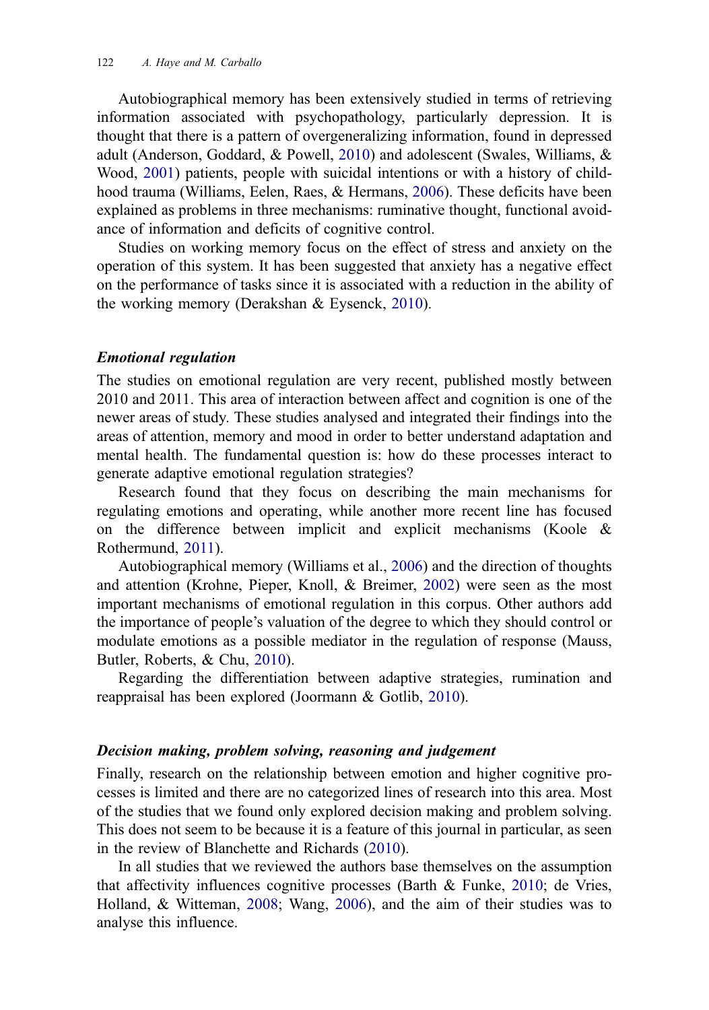<span id="page-8-0"></span>Autobiographical memory has been extensively studied in terms of retrieving information associated with psychopathology, particularly depression. It is thought that there is a pattern of overgeneralizing information, found in depressed adult (Anderson, Goddard, & Powell, [2010\)](#page-24-0) and adolescent (Swales, Williams, & Wood, [2001\)](#page-25-0) patients, people with suicidal intentions or with a history of childhood trauma (Williams, Eelen, Raes, & Hermans, [2006](#page-25-0)). These deficits have been explained as problems in three mechanisms: ruminative thought, functional avoidance of information and deficits of cognitive control.

Studies on working memory focus on the effect of stress and anxiety on the operation of this system. It has been suggested that anxiety has a negative effect on the performance of tasks since it is associated with a reduction in the ability of the working memory (Derakshan & Eysenck, [2010](#page-24-0)).

#### Emotional regulation

The studies on emotional regulation are very recent, published mostly between 2010 and 2011. This area of interaction between affect and cognition is one of the newer areas of study. These studies analysed and integrated their findings into the areas of attention, memory and mood in order to better understand adaptation and mental health. The fundamental question is: how do these processes interact to generate adaptive emotional regulation strategies?

Research found that they focus on describing the main mechanisms for regulating emotions and operating, while another more recent line has focused on the difference between implicit and explicit mechanisms (Koole & Rothermund, [2011\)](#page-25-0).

Autobiographical memory (Williams et al., [2006](#page-25-0)) and the direction of thoughts and attention (Krohne, Pieper, Knoll, & Breimer, [2002\)](#page-25-0) were seen as the most important mechanisms of emotional regulation in this corpus. Other authors add the importance of people's valuation of the degree to which they should control or modulate emotions as a possible mediator in the regulation of response (Mauss, Butler, Roberts, & Chu, [2010\)](#page-25-0).

Regarding the differentiation between adaptive strategies, rumination and reappraisal has been explored (Joormann & Gotlib, [2010](#page-25-0)).

#### Decision making, problem solving, reasoning and judgement

Finally, research on the relationship between emotion and higher cognitive processes is limited and there are no categorized lines of research into this area. Most of the studies that we found only explored decision making and problem solving. This does not seem to be because it is a feature of this journal in particular, as seen in the review of Blanchette and Richards ([2010\)](#page-24-0).

In all studies that we reviewed the authors base themselves on the assumption that affectivity influences cognitive processes (Barth & Funke, [2010](#page-24-0); de Vries, Holland, & Witteman, [2008;](#page-24-0) Wang, [2006](#page-25-0)), and the aim of their studies was to analyse this influence.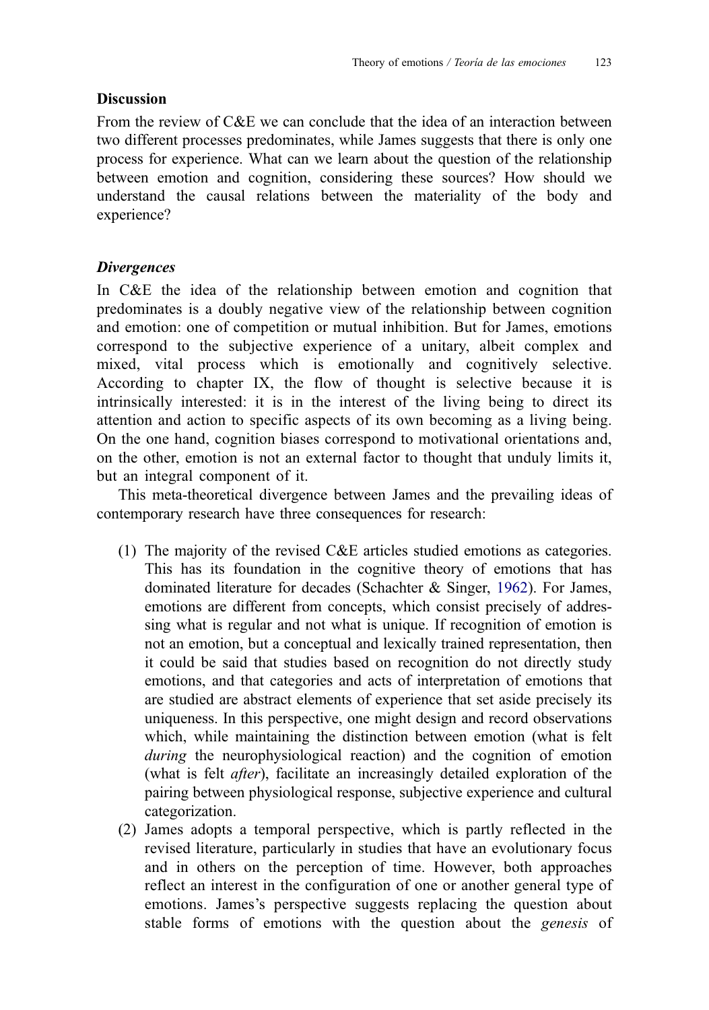# <span id="page-9-0"></span>Discussion

From the review of C&E we can conclude that the idea of an interaction between two different processes predominates, while James suggests that there is only one process for experience. What can we learn about the question of the relationship between emotion and cognition, considering these sources? How should we understand the causal relations between the materiality of the body and experience?

# **Divergences**

In C&E the idea of the relationship between emotion and cognition that predominates is a doubly negative view of the relationship between cognition and emotion: one of competition or mutual inhibition. But for James, emotions correspond to the subjective experience of a unitary, albeit complex and mixed, vital process which is emotionally and cognitively selective. According to chapter IX, the flow of thought is selective because it is intrinsically interested: it is in the interest of the living being to direct its attention and action to specific aspects of its own becoming as a living being. On the one hand, cognition biases correspond to motivational orientations and, on the other, emotion is not an external factor to thought that unduly limits it, but an integral component of it.

This meta-theoretical divergence between James and the prevailing ideas of contemporary research have three consequences for research:

- (1) The majority of the revised C&E articles studied emotions as categories. This has its foundation in the cognitive theory of emotions that has dominated literature for decades (Schachter & Singer, [1962](#page-25-0)). For James, emotions are different from concepts, which consist precisely of addressing what is regular and not what is unique. If recognition of emotion is not an emotion, but a conceptual and lexically trained representation, then it could be said that studies based on recognition do not directly study emotions, and that categories and acts of interpretation of emotions that are studied are abstract elements of experience that set aside precisely its uniqueness. In this perspective, one might design and record observations which, while maintaining the distinction between emotion (what is felt during the neurophysiological reaction) and the cognition of emotion (what is felt after), facilitate an increasingly detailed exploration of the pairing between physiological response, subjective experience and cultural categorization.
- (2) James adopts a temporal perspective, which is partly reflected in the revised literature, particularly in studies that have an evolutionary focus and in others on the perception of time. However, both approaches reflect an interest in the configuration of one or another general type of emotions. James's perspective suggests replacing the question about stable forms of emotions with the question about the genesis of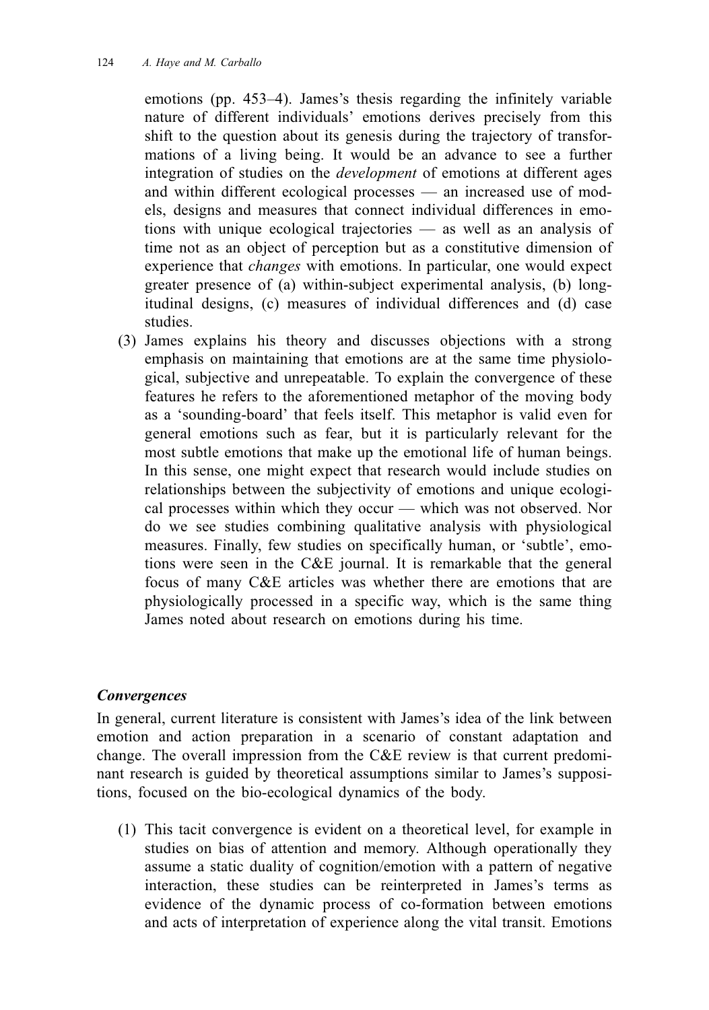emotions (pp. 453–4). James's thesis regarding the infinitely variable nature of different individuals' emotions derives precisely from this shift to the question about its genesis during the trajectory of transformations of a living being. It would be an advance to see a further integration of studies on the development of emotions at different ages and within different ecological processes — an increased use of models, designs and measures that connect individual differences in emotions with unique ecological trajectories — as well as an analysis of time not as an object of perception but as a constitutive dimension of experience that changes with emotions. In particular, one would expect greater presence of (a) within-subject experimental analysis, (b) longitudinal designs, (c) measures of individual differences and (d) case studies.

(3) James explains his theory and discusses objections with a strong emphasis on maintaining that emotions are at the same time physiological, subjective and unrepeatable. To explain the convergence of these features he refers to the aforementioned metaphor of the moving body as a 'sounding-board' that feels itself. This metaphor is valid even for general emotions such as fear, but it is particularly relevant for the most subtle emotions that make up the emotional life of human beings. In this sense, one might expect that research would include studies on relationships between the subjectivity of emotions and unique ecological processes within which they occur — which was not observed. Nor do we see studies combining qualitative analysis with physiological measures. Finally, few studies on specifically human, or 'subtle', emotions were seen in the C&E journal. It is remarkable that the general focus of many C&E articles was whether there are emotions that are physiologically processed in a specific way, which is the same thing James noted about research on emotions during his time.

#### **Convergences**

In general, current literature is consistent with James's idea of the link between emotion and action preparation in a scenario of constant adaptation and change. The overall impression from the C&E review is that current predominant research is guided by theoretical assumptions similar to James's suppositions, focused on the bio-ecological dynamics of the body.

(1) This tacit convergence is evident on a theoretical level, for example in studies on bias of attention and memory. Although operationally they assume a static duality of cognition/emotion with a pattern of negative interaction, these studies can be reinterpreted in James's terms as evidence of the dynamic process of co-formation between emotions and acts of interpretation of experience along the vital transit. Emotions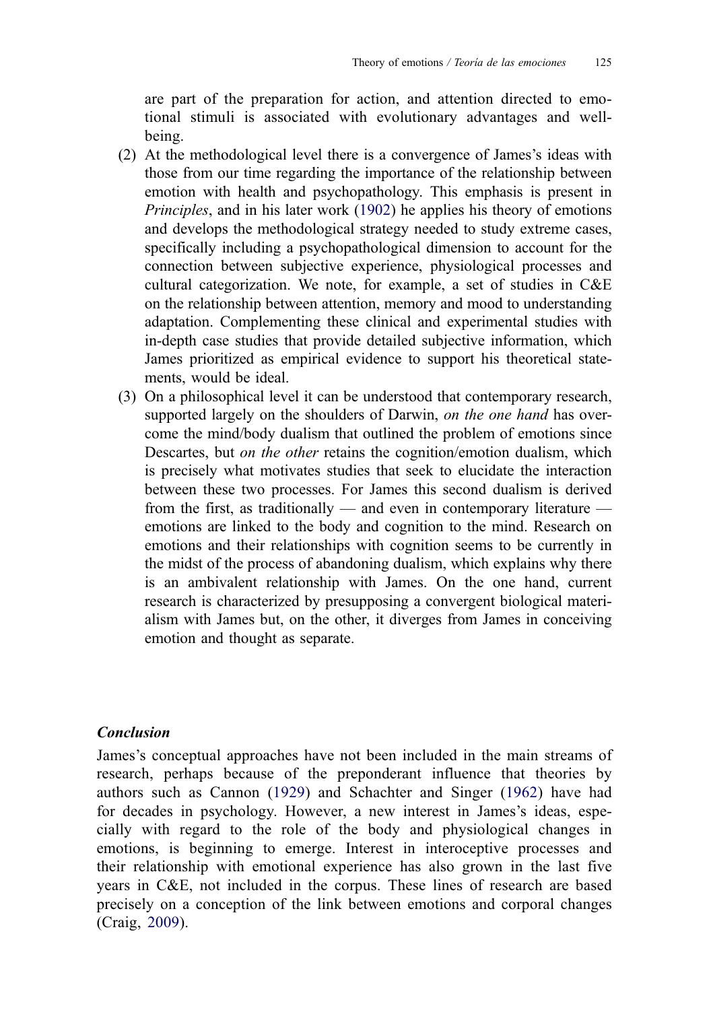<span id="page-11-0"></span>are part of the preparation for action, and attention directed to emotional stimuli is associated with evolutionary advantages and wellbeing.

- (2) At the methodological level there is a convergence of James's ideas with those from our time regarding the importance of the relationship between emotion with health and psychopathology. This emphasis is present in Principles, and in his later work [\(1902\)](#page-25-0) he applies his theory of emotions and develops the methodological strategy needed to study extreme cases, specifically including a psychopathological dimension to account for the connection between subjective experience, physiological processes and cultural categorization. We note, for example, a set of studies in C&E on the relationship between attention, memory and mood to understanding adaptation. Complementing these clinical and experimental studies with in-depth case studies that provide detailed subjective information, which James prioritized as empirical evidence to support his theoretical statements, would be ideal.
- (3) On a philosophical level it can be understood that contemporary research, supported largely on the shoulders of Darwin, on the one hand has overcome the mind/body dualism that outlined the problem of emotions since Descartes, but *on the other* retains the cognition/emotion dualism, which is precisely what motivates studies that seek to elucidate the interaction between these two processes. For James this second dualism is derived from the first, as traditionally — and even in contemporary literature emotions are linked to the body and cognition to the mind. Research on emotions and their relationships with cognition seems to be currently in the midst of the process of abandoning dualism, which explains why there is an ambivalent relationship with James. On the one hand, current research is characterized by presupposing a convergent biological materialism with James but, on the other, it diverges from James in conceiving emotion and thought as separate.

# Conclusion

James's conceptual approaches have not been included in the main streams of research, perhaps because of the preponderant influence that theories by authors such as Cannon ([1929](#page-24-0)) and Schachter and Singer ([1962](#page-25-0)) have had for decades in psychology. However, a new interest in James's ideas, especially with regard to the role of the body and physiological changes in emotions, is beginning to emerge. Interest in interoceptive processes and their relationship with emotional experience has also grown in the last five years in C&E, not included in the corpus. These lines of research are based precisely on a conception of the link between emotions and corporal changes (Craig, [2009\)](#page-24-0).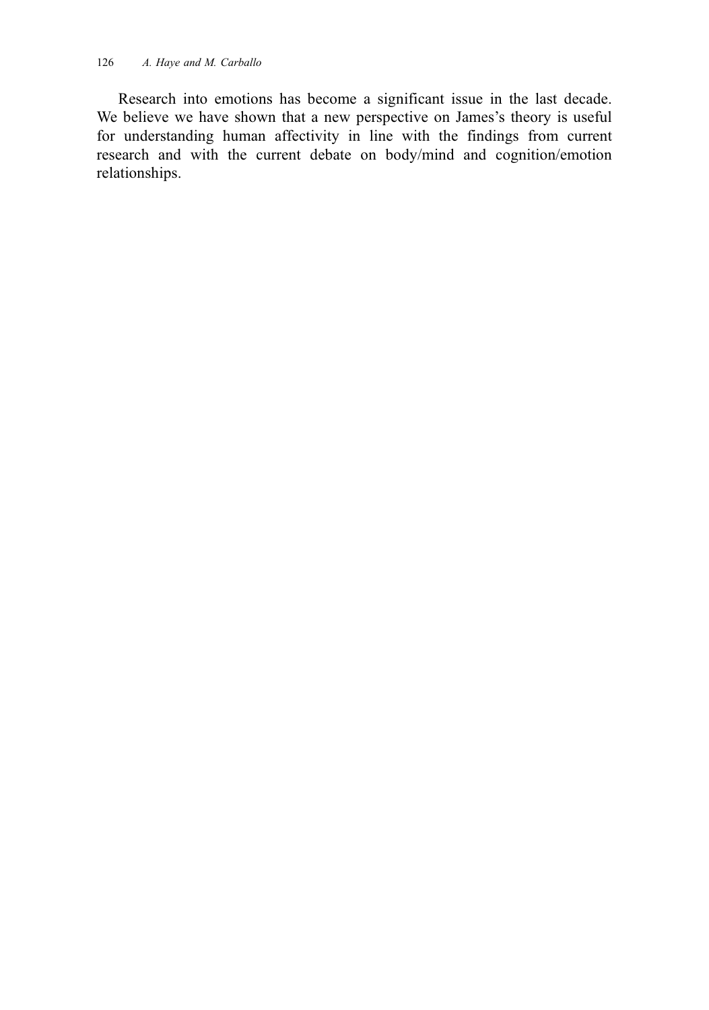Research into emotions has become a significant issue in the last decade. We believe we have shown that a new perspective on James's theory is useful for understanding human affectivity in line with the findings from current research and with the current debate on body/mind and cognition/emotion relationships.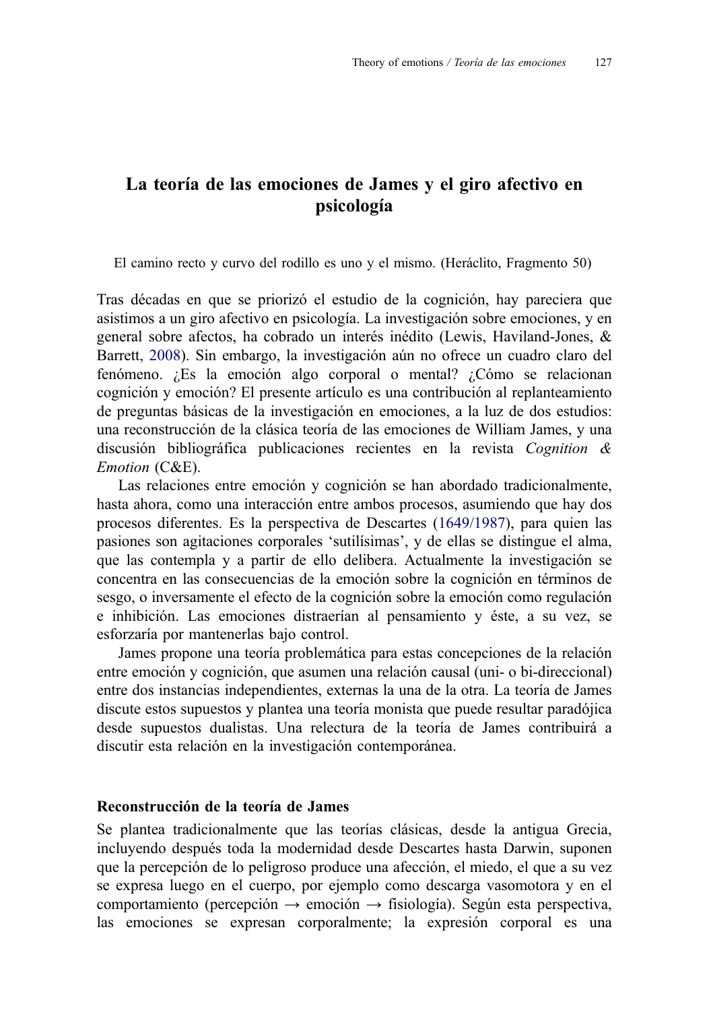# La teoría de las emociones de James y el giro afectivo en psicología

El camino recto y curvo del rodillo es uno y el mismo. (Heráclito, Fragmento 50)

Tras décadas en que se priorizó el estudio de la cognición, hay pareciera que asistimos a un giro afectivo en psicología. La investigación sobre emociones, y en general sobre afectos, ha cobrado un interés inédito (Lewis, Haviland-Jones, & Barrett, [2008\)](#page-25-0). Sin embargo, la investigación aún no ofrece un cuadro claro del fenómeno. ¿Es la emoción algo corporal o mental? ¿Cómo se relacionan cognición y emoción? El presente artículo es una contribución al replanteamiento de preguntas básicas de la investigación en emociones, a la luz de dos estudios: una reconstrucción de la clásica teoría de las emociones de William James, y una discusión bibliográfica publicaciones recientes en la revista Cognition & Emotion (C&E).

Las relaciones entre emoción y cognición se han abordado tradicionalmente, hasta ahora, como una interacción entre ambos procesos, asumiendo que hay dos procesos diferentes. Es la perspectiva de Descartes ([1649/1987\)](#page-24-0), para quien las pasiones son agitaciones corporales 'sutilísimas', y de ellas se distingue el alma, que las contempla y a partir de ello delibera. Actualmente la investigación se concentra en las consecuencias de la emoción sobre la cognición en términos de sesgo, o inversamente el efecto de la cognición sobre la emoción como regulación e inhibición. Las emociones distraerían al pensamiento y éste, a su vez, se esforzaría por mantenerlas bajo control.

James propone una teoría problemática para estas concepciones de la relación entre emoción y cognición, que asumen una relación causal (uni- o bi-direccional) entre dos instancias independientes, externas la una de la otra. La teoría de James discute estos supuestos y plantea una teoría monista que puede resultar paradójica desde supuestos dualistas. Una relectura de la teoría de James contribuirá a discutir esta relación en la investigación contemporánea.

#### Reconstrucción de la teoría de James

Se plantea tradicionalmente que las teorías clásicas, desde la antigua Grecia, incluyendo después toda la modernidad desde Descartes hasta Darwin, suponen que la percepción de lo peligroso produce una afección, el miedo, el que a su vez se expresa luego en el cuerpo, por ejemplo como descarga vasomotora y en el comportamiento (percepción  $\rightarrow$  emoción  $\rightarrow$  fisiología). Según esta perspectiva, las emociones se expresan corporalmente; la expresión corporal es una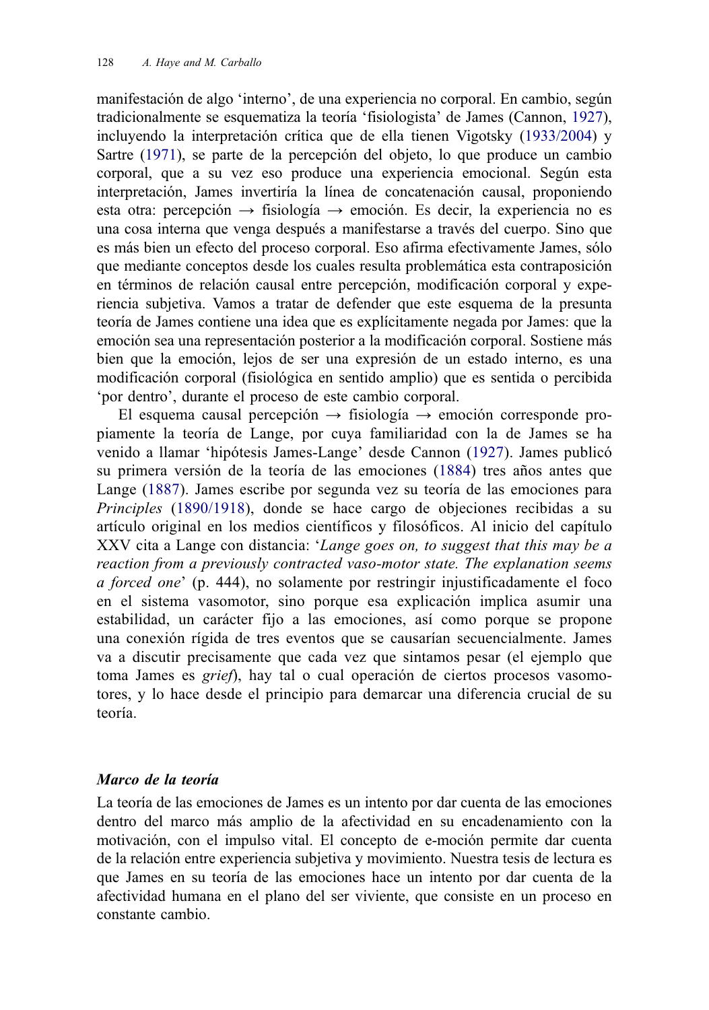manifestación de algo 'interno', de una experiencia no corporal. En cambio, según tradicionalmente se esquematiza la teoría 'fisiologista' de James (Cannon, [1927\)](#page-24-0), incluyendo la interpretación crítica que de ella tienen Vigotsky [\(1933/2004](#page-25-0)) y Sartre [\(1971\)](#page-25-0), se parte de la percepción del objeto, lo que produce un cambio corporal, que a su vez eso produce una experiencia emocional. Según esta interpretación, James invertiría la línea de concatenación causal, proponiendo esta otra: percepción  $\rightarrow$  fisiología  $\rightarrow$  emoción. Es decir, la experiencia no es una cosa interna que venga después a manifestarse a través del cuerpo. Sino que es más bien un efecto del proceso corporal. Eso afirma efectivamente James, sólo que mediante conceptos desde los cuales resulta problemática esta contraposición en términos de relación causal entre percepción, modificación corporal y experiencia subjetiva. Vamos a tratar de defender que este esquema de la presunta teoría de James contiene una idea que es explícitamente negada por James: que la emoción sea una representación posterior a la modificación corporal. Sostiene más bien que la emoción, lejos de ser una expresión de un estado interno, es una modificación corporal (fisiológica en sentido amplio) que es sentida o percibida 'por dentro', durante el proceso de este cambio corporal.

El esquema causal percepción  $\rightarrow$  fisiología  $\rightarrow$  emoción corresponde propiamente la teoría de Lange, por cuya familiaridad con la de James se ha venido a llamar 'hipótesis James-Lange' desde Cannon [\(1927\)](#page-24-0). James publicó su primera versión de la teoría de las emociones [\(1884\)](#page-25-0) tres años antes que Lange ([1887](#page-25-0)). James escribe por segunda vez su teoría de las emociones para Principles ([1890/1918\)](#page-25-0), donde se hace cargo de objeciones recibidas a su artículo original en los medios científicos y filosóficos. Al inicio del capítulo XXV cita a Lange con distancia: 'Lange goes on, to suggest that this may be a reaction from a previously contracted vaso-motor state. The explanation seems a forced one' (p. 444), no solamente por restringir injustificadamente el foco en el sistema vasomotor, sino porque esa explicación implica asumir una estabilidad, un carácter fijo a las emociones, así como porque se propone una conexión rígida de tres eventos que se causarían secuencialmente. James va a discutir precisamente que cada vez que sintamos pesar (el ejemplo que toma James es grief), hay tal o cual operación de ciertos procesos vasomotores, y lo hace desde el principio para demarcar una diferencia crucial de su teoría.

#### Marco de la teoría

La teoría de las emociones de James es un intento por dar cuenta de las emociones dentro del marco más amplio de la afectividad en su encadenamiento con la motivación, con el impulso vital. El concepto de e-moción permite dar cuenta de la relación entre experiencia subjetiva y movimiento. Nuestra tesis de lectura es que James en su teoría de las emociones hace un intento por dar cuenta de la afectividad humana en el plano del ser viviente, que consiste en un proceso en constante cambio.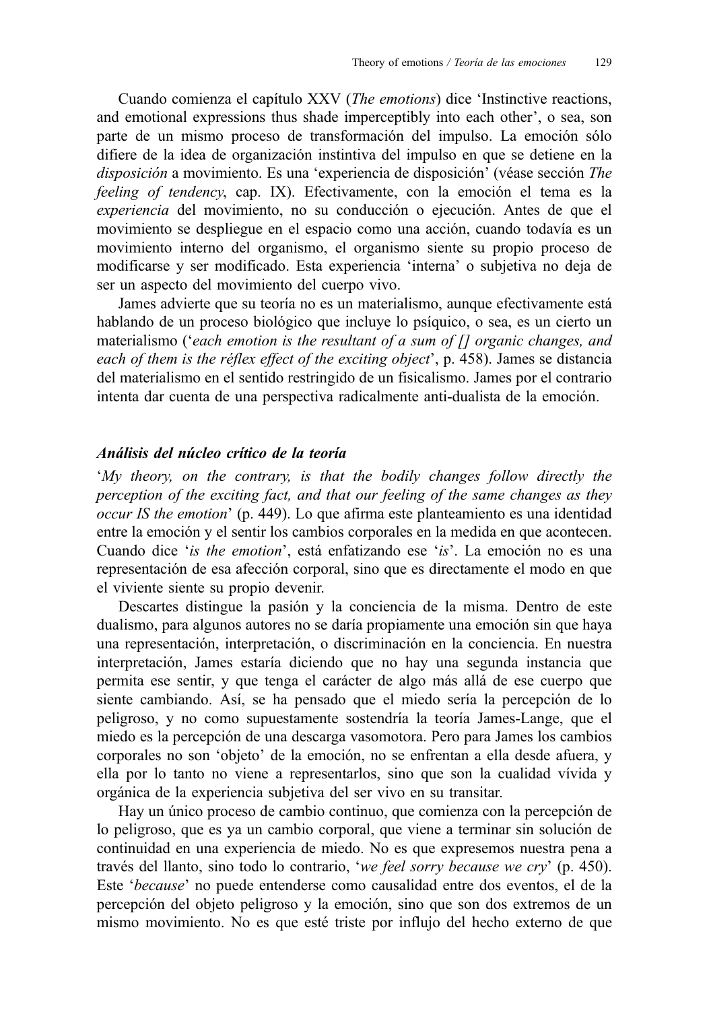Cuando comienza el capítulo XXV (The emotions) dice 'Instinctive reactions, and emotional expressions thus shade imperceptibly into each other', o sea, son parte de un mismo proceso de transformación del impulso. La emoción sólo difiere de la idea de organización instintiva del impulso en que se detiene en la disposición a movimiento. Es una 'experiencia de disposición' (véase sección The feeling of tendency, cap. IX). Efectivamente, con la emoción el tema es la experiencia del movimiento, no su conducción o ejecución. Antes de que el movimiento se despliegue en el espacio como una acción, cuando todavía es un movimiento interno del organismo, el organismo siente su propio proceso de modificarse y ser modificado. Esta experiencia 'interna' o subjetiva no deja de ser un aspecto del movimiento del cuerpo vivo.

James advierte que su teoría no es un materialismo, aunque efectivamente está hablando de un proceso biológico que incluye lo psíquico, o sea, es un cierto un materialismo ('each emotion is the resultant of a sum of [] organic changes, and each of them is the réflex effect of the exciting object', p. 458). James se distancia del materialismo en el sentido restringido de un fisicalismo. James por el contrario intenta dar cuenta de una perspectiva radicalmente anti-dualista de la emoción.

### Análisis del núcleo crítico de la teoría

'My theory, on the contrary, is that the bodily changes follow directly the perception of the exciting fact, and that our feeling of the same changes as they occur IS the emotion' (p. 449). Lo que afirma este planteamiento es una identidad entre la emoción y el sentir los cambios corporales en la medida en que acontecen. Cuando dice 'is the emotion', está enfatizando ese 'is'. La emoción no es una representación de esa afección corporal, sino que es directamente el modo en que el viviente siente su propio devenir.

Descartes distingue la pasión y la conciencia de la misma. Dentro de este dualismo, para algunos autores no se daría propiamente una emoción sin que haya una representación, interpretación, o discriminación en la conciencia. En nuestra interpretación, James estaría diciendo que no hay una segunda instancia que permita ese sentir, y que tenga el carácter de algo más allá de ese cuerpo que siente cambiando. Así, se ha pensado que el miedo sería la percepción de lo peligroso, y no como supuestamente sostendría la teoría James-Lange, que el miedo es la percepción de una descarga vasomotora. Pero para James los cambios corporales no son 'objeto' de la emoción, no se enfrentan a ella desde afuera, y ella por lo tanto no viene a representarlos, sino que son la cualidad vívida y orgánica de la experiencia subjetiva del ser vivo en su transitar.

Hay un único proceso de cambio continuo, que comienza con la percepción de lo peligroso, que es ya un cambio corporal, que viene a terminar sin solución de continuidad en una experiencia de miedo. No es que expresemos nuestra pena a través del llanto, sino todo lo contrario, 'we feel sorry because we cry' (p. 450). Este 'because' no puede entenderse como causalidad entre dos eventos, el de la percepción del objeto peligroso y la emoción, sino que son dos extremos de un mismo movimiento. No es que esté triste por influjo del hecho externo de que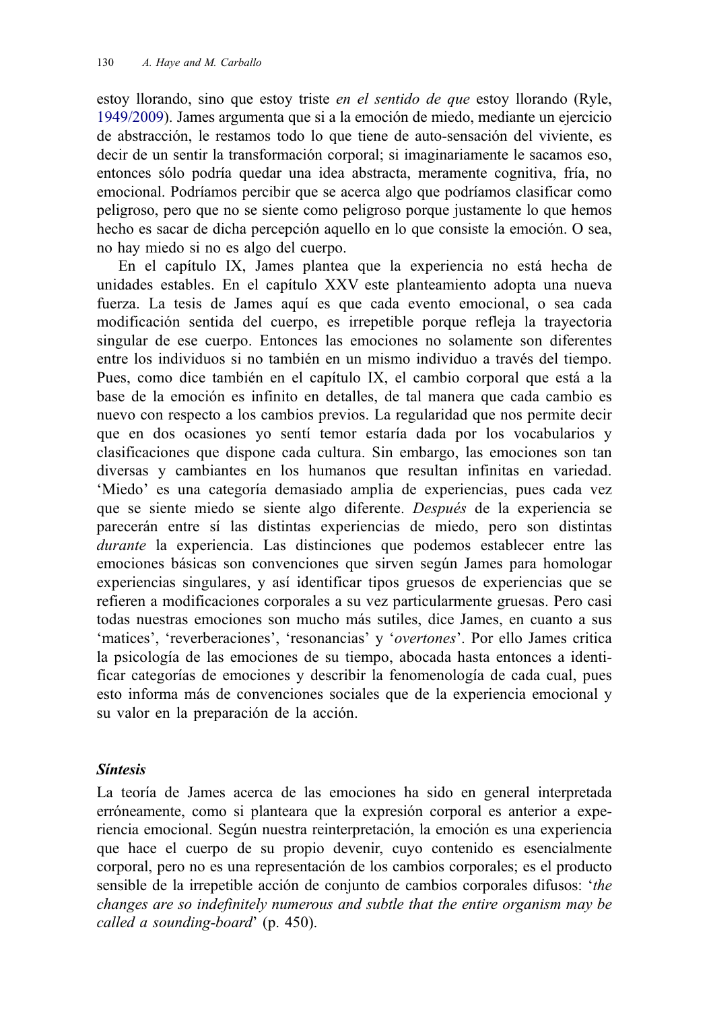estoy llorando, sino que estoy triste en el sentido de que estoy llorando (Ryle, [1949/2009](#page-25-0)). James argumenta que si a la emoción de miedo, mediante un ejercicio de abstracción, le restamos todo lo que tiene de auto-sensación del viviente, es decir de un sentir la transformación corporal; si imaginariamente le sacamos eso, entonces sólo podría quedar una idea abstracta, meramente cognitiva, fría, no emocional. Podríamos percibir que se acerca algo que podríamos clasificar como peligroso, pero que no se siente como peligroso porque justamente lo que hemos hecho es sacar de dicha percepción aquello en lo que consiste la emoción. O sea, no hay miedo si no es algo del cuerpo.

En el capítulo IX, James plantea que la experiencia no está hecha de unidades estables. En el capítulo XXV este planteamiento adopta una nueva fuerza. La tesis de James aquí es que cada evento emocional, o sea cada modificación sentida del cuerpo, es irrepetible porque refleja la trayectoria singular de ese cuerpo. Entonces las emociones no solamente son diferentes entre los individuos si no también en un mismo individuo a través del tiempo. Pues, como dice también en el capítulo IX, el cambio corporal que está a la base de la emoción es infinito en detalles, de tal manera que cada cambio es nuevo con respecto a los cambios previos. La regularidad que nos permite decir que en dos ocasiones yo sentí temor estaría dada por los vocabularios y clasificaciones que dispone cada cultura. Sin embargo, las emociones son tan diversas y cambiantes en los humanos que resultan infinitas en variedad. 'Miedo' es una categoría demasiado amplia de experiencias, pues cada vez que se siente miedo se siente algo diferente. Después de la experiencia se parecerán entre sí las distintas experiencias de miedo, pero son distintas durante la experiencia. Las distinciones que podemos establecer entre las emociones básicas son convenciones que sirven según James para homologar experiencias singulares, y así identificar tipos gruesos de experiencias que se refieren a modificaciones corporales a su vez particularmente gruesas. Pero casi todas nuestras emociones son mucho más sutiles, dice James, en cuanto a sus 'matices', 'reverberaciones', 'resonancias' y 'overtones'. Por ello James critica la psicología de las emociones de su tiempo, abocada hasta entonces a identificar categorías de emociones y describir la fenomenología de cada cual, pues esto informa más de convenciones sociales que de la experiencia emocional y su valor en la preparación de la acción.

# Síntesis

La teoría de James acerca de las emociones ha sido en general interpretada erróneamente, como si planteara que la expresión corporal es anterior a experiencia emocional. Según nuestra reinterpretación, la emoción es una experiencia que hace el cuerpo de su propio devenir, cuyo contenido es esencialmente corporal, pero no es una representación de los cambios corporales; es el producto sensible de la irrepetible acción de conjunto de cambios corporales difusos: 'the changes are so indefinitely numerous and subtle that the entire organism may be called a sounding-board' (p. 450).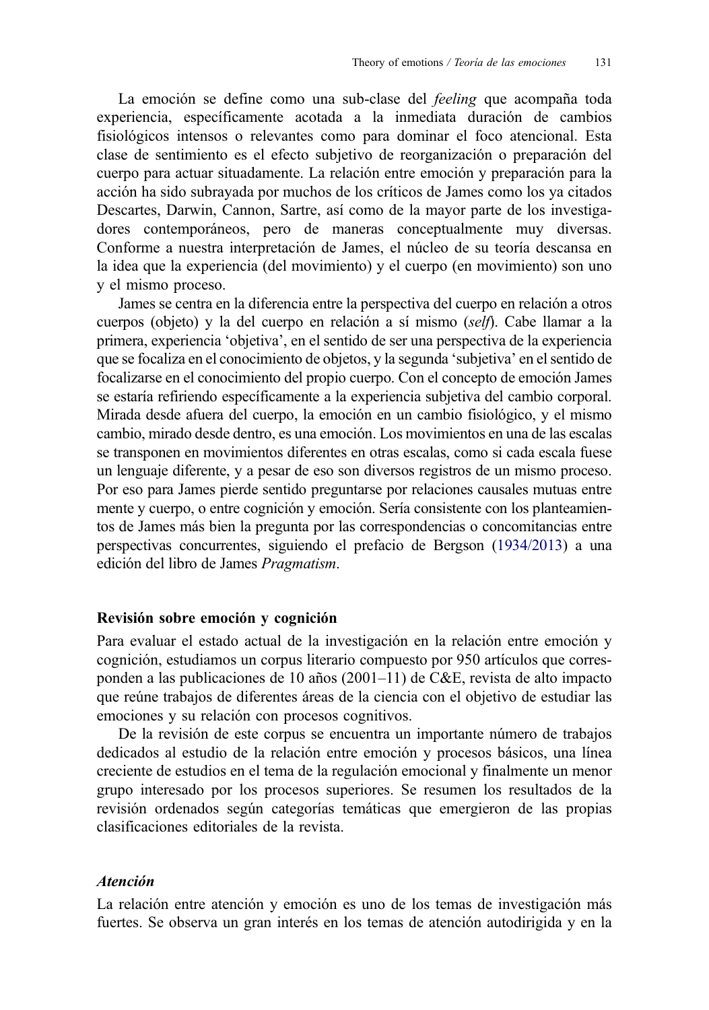La emoción se define como una sub-clase del *feeling* que acompaña toda experiencia, específicamente acotada a la inmediata duración de cambios fisiológicos intensos o relevantes como para dominar el foco atencional. Esta clase de sentimiento es el efecto subjetivo de reorganización o preparación del cuerpo para actuar situadamente. La relación entre emoción y preparación para la acción ha sido subrayada por muchos de los críticos de James como los ya citados Descartes, Darwin, Cannon, Sartre, así como de la mayor parte de los investigadores contemporáneos, pero de maneras conceptualmente muy diversas. Conforme a nuestra interpretación de James, el núcleo de su teoría descansa en la idea que la experiencia (del movimiento) y el cuerpo (en movimiento) son uno y el mismo proceso.

James se centra en la diferencia entre la perspectiva del cuerpo en relación a otros cuerpos (objeto) y la del cuerpo en relación a sí mismo *(self)*. Cabe llamar a la primera, experiencia 'objetiva', en el sentido de ser una perspectiva de la experiencia que se focaliza en el conocimiento de objetos, y la segunda 'subjetiva' en el sentido de focalizarse en el conocimiento del propio cuerpo. Con el concepto de emoción James se estaría refiriendo específicamente a la experiencia subjetiva del cambio corporal. Mirada desde afuera del cuerpo, la emoción en un cambio fisiológico, y el mismo cambio, mirado desde dentro, es una emoción. Los movimientos en una de las escalas se transponen en movimientos diferentes en otras escalas, como si cada escala fuese un lenguaje diferente, y a pesar de eso son diversos registros de un mismo proceso. Por eso para James pierde sentido preguntarse por relaciones causales mutuas entre mente y cuerpo, o entre cognición y emoción. Sería consistente con los planteamientos de James más bien la pregunta por las correspondencias o concomitancias entre perspectivas concurrentes, siguiendo el prefacio de Bergson ([1934/2013\)](#page-24-0) a una edición del libro de James Pragmatism.

#### Revisión sobre emoción y cognición

Para evaluar el estado actual de la investigación en la relación entre emoción y cognición, estudiamos un corpus literario compuesto por 950 artículos que corresponden a las publicaciones de 10 años (2001–11) de C&E, revista de alto impacto que reúne trabajos de diferentes áreas de la ciencia con el objetivo de estudiar las emociones y su relación con procesos cognitivos.

De la revisión de este corpus se encuentra un importante número de trabajos dedicados al estudio de la relación entre emoción y procesos básicos, una línea creciente de estudios en el tema de la regulación emocional y finalmente un menor grupo interesado por los procesos superiores. Se resumen los resultados de la revisión ordenados según categorías temáticas que emergieron de las propias clasificaciones editoriales de la revista.

# Atención

La relación entre atención y emoción es uno de los temas de investigación más fuertes. Se observa un gran interés en los temas de atención autodirigida y en la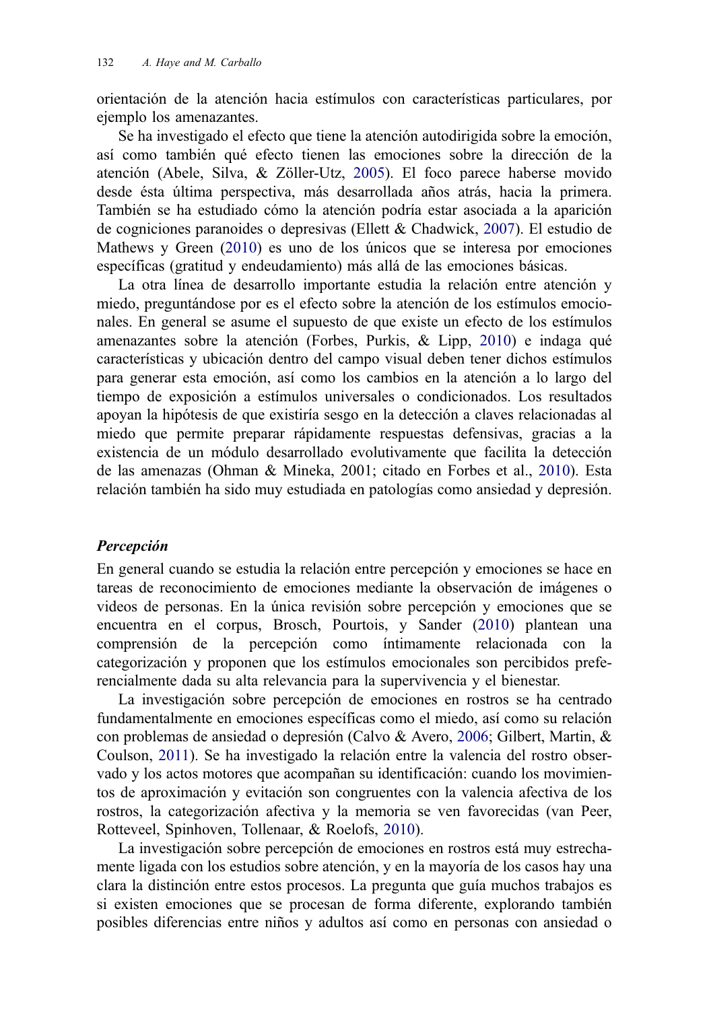orientación de la atención hacia estímulos con características particulares, por ejemplo los amenazantes.

Se ha investigado el efecto que tiene la atención autodirigida sobre la emoción, así como también qué efecto tienen las emociones sobre la dirección de la atención (Abele, Silva, & Zöller-Utz, [2005\)](#page-24-0). El foco parece haberse movido desde ésta última perspectiva, más desarrollada años atrás, hacia la primera. También se ha estudiado cómo la atención podría estar asociada a la aparición de cogniciones paranoides o depresivas (Ellett & Chadwick, [2007](#page-24-0)). El estudio de Mathews y Green ([2010\)](#page-25-0) es uno de los únicos que se interesa por emociones específicas (gratitud y endeudamiento) más allá de las emociones básicas.

La otra línea de desarrollo importante estudia la relación entre atención y miedo, preguntándose por es el efecto sobre la atención de los estímulos emocionales. En general se asume el supuesto de que existe un efecto de los estímulos amenazantes sobre la atención (Forbes, Purkis, & Lipp, [2010\)](#page-24-0) e indaga qué características y ubicación dentro del campo visual deben tener dichos estímulos para generar esta emoción, así como los cambios en la atención a lo largo del tiempo de exposición a estímulos universales o condicionados. Los resultados apoyan la hipótesis de que existiría sesgo en la detección a claves relacionadas al miedo que permite preparar rápidamente respuestas defensivas, gracias a la existencia de un módulo desarrollado evolutivamente que facilita la detección de las amenazas (Ohman & Mineka, 2001; citado en Forbes et al., [2010\)](#page-24-0). Esta relación también ha sido muy estudiada en patologías como ansiedad y depresión.

# Percepción

En general cuando se estudia la relación entre percepción y emociones se hace en tareas de reconocimiento de emociones mediante la observación de imágenes o videos de personas. En la única revisión sobre percepción y emociones que se encuentra en el corpus, Brosch, Pourtois, y Sander ([2010](#page-24-0)) plantean una comprensión de la percepción como íntimamente relacionada con la categorización y proponen que los estímulos emocionales son percibidos preferencialmente dada su alta relevancia para la supervivencia y el bienestar.

La investigación sobre percepción de emociones en rostros se ha centrado fundamentalmente en emociones específicas como el miedo, así como su relación con problemas de ansiedad o depresión (Calvo & Avero, [2006](#page-24-0); Gilbert, Martin, & Coulson, [2011\)](#page-25-0). Se ha investigado la relación entre la valencia del rostro observado y los actos motores que acompañan su identificación: cuando los movimientos de aproximación y evitación son congruentes con la valencia afectiva de los rostros, la categorización afectiva y la memoria se ven favorecidas (van Peer, Rotteveel, Spinhoven, Tollenaar, & Roelofs, [2010\)](#page-25-0).

La investigación sobre percepción de emociones en rostros está muy estrechamente ligada con los estudios sobre atención, y en la mayoría de los casos hay una clara la distinción entre estos procesos. La pregunta que guía muchos trabajos es si existen emociones que se procesan de forma diferente, explorando también posibles diferencias entre niños y adultos así como en personas con ansiedad o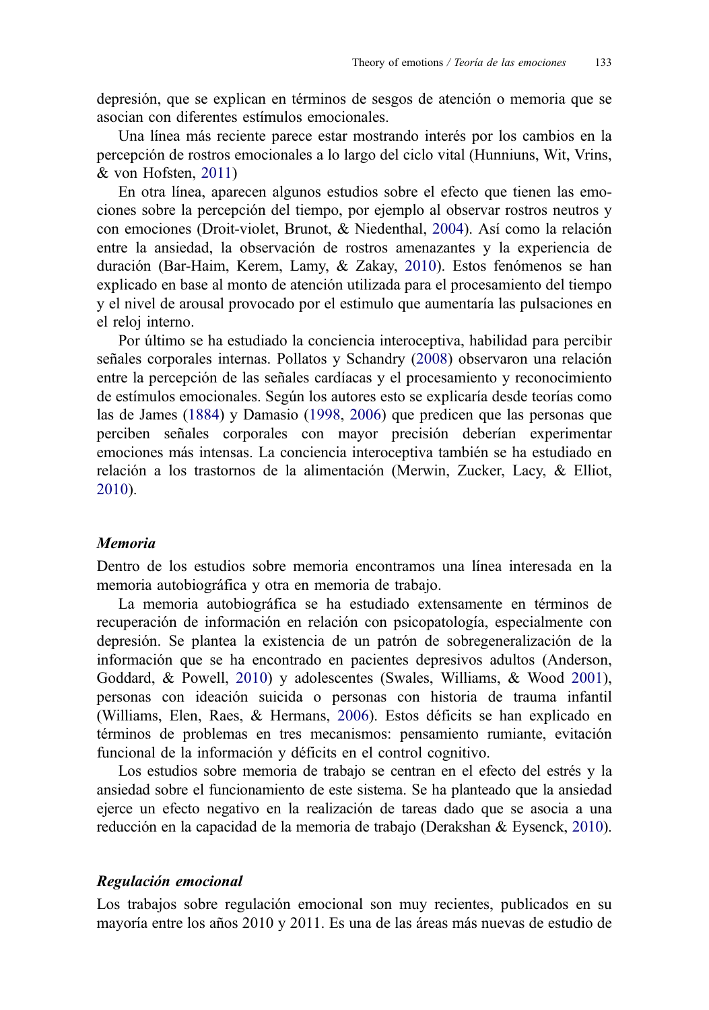depresión, que se explican en términos de sesgos de atención o memoria que se asocian con diferentes estímulos emocionales.

Una línea más reciente parece estar mostrando interés por los cambios en la percepción de rostros emocionales a lo largo del ciclo vital (Hunniuns, Wit, Vrins, & von Hofsten, [2011\)](#page-25-0)

En otra línea, aparecen algunos estudios sobre el efecto que tienen las emociones sobre la percepción del tiempo, por ejemplo al observar rostros neutros y con emociones (Droit-violet, Brunot, & Niedenthal, [2004\)](#page-24-0). Así como la relación entre la ansiedad, la observación de rostros amenazantes y la experiencia de duración (Bar-Haim, Kerem, Lamy, & Zakay, [2010\)](#page-24-0). Estos fenómenos se han explicado en base al monto de atención utilizada para el procesamiento del tiempo y el nivel de arousal provocado por el estimulo que aumentaría las pulsaciones en el reloj interno.

Por último se ha estudiado la conciencia interoceptiva, habilidad para percibir señales corporales internas. Pollatos y Schandry ([2008\)](#page-25-0) observaron una relación entre la percepción de las señales cardíacas y el procesamiento y reconocimiento de estímulos emocionales. Según los autores esto se explicaría desde teorías como las de James ([1884\)](#page-25-0) y Damasio [\(1998,](#page-24-0) [2006](#page-24-0)) que predicen que las personas que perciben señales corporales con mayor precisión deberían experimentar emociones más intensas. La conciencia interoceptiva también se ha estudiado en relación a los trastornos de la alimentación (Merwin, Zucker, Lacy, & Elliot, [2010](#page-25-0)).

## Memoria

Dentro de los estudios sobre memoria encontramos una línea interesada en la memoria autobiográfica y otra en memoria de trabajo.

La memoria autobiográfica se ha estudiado extensamente en términos de recuperación de información en relación con psicopatología, especialmente con depresión. Se plantea la existencia de un patrón de sobregeneralización de la información que se ha encontrado en pacientes depresivos adultos (Anderson, Goddard, & Powell, [2010](#page-24-0)) y adolescentes (Swales, Williams, & Wood [2001\)](#page-25-0), personas con ideación suicida o personas con historia de trauma infantil (Williams, Elen, Raes, & Hermans, [2006\)](#page-25-0). Estos déficits se han explicado en términos de problemas en tres mecanismos: pensamiento rumiante, evitación funcional de la información y déficits en el control cognitivo.

Los estudios sobre memoria de trabajo se centran en el efecto del estrés y la ansiedad sobre el funcionamiento de este sistema. Se ha planteado que la ansiedad ejerce un efecto negativo en la realización de tareas dado que se asocia a una reducción en la capacidad de la memoria de trabajo (Derakshan & Eysenck, [2010\)](#page-24-0).

#### Regulación emocional

Los trabajos sobre regulación emocional son muy recientes, publicados en su mayoría entre los años 2010 y 2011. Es una de las áreas más nuevas de estudio de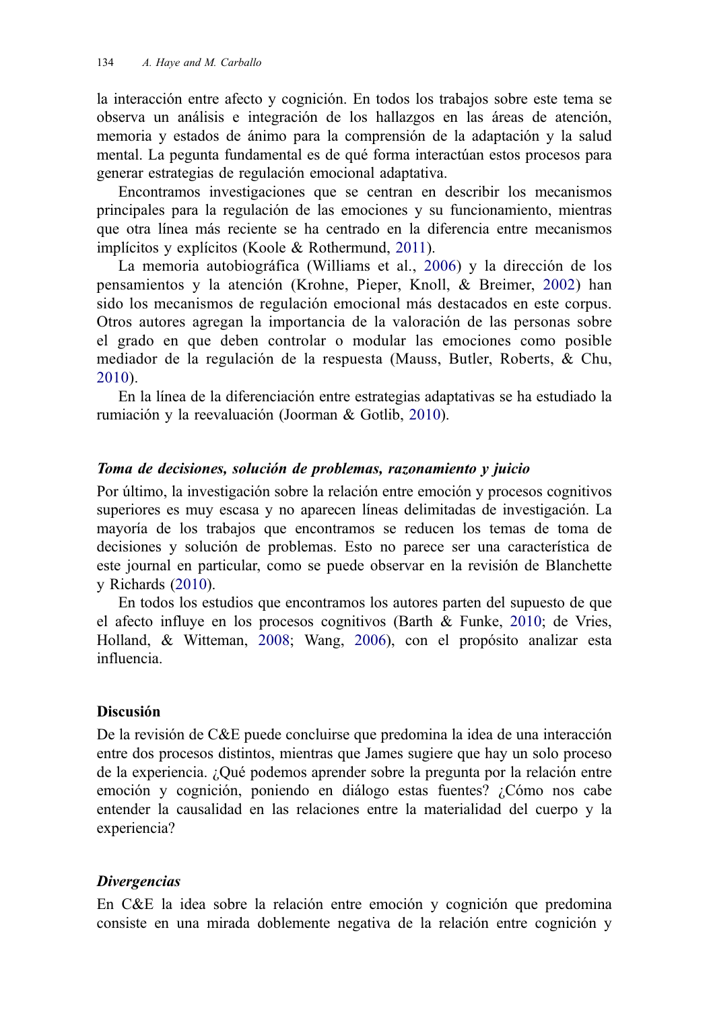la interacción entre afecto y cognición. En todos los trabajos sobre este tema se observa un análisis e integración de los hallazgos en las áreas de atención, memoria y estados de ánimo para la comprensión de la adaptación y la salud mental. La pegunta fundamental es de qué forma interactúan estos procesos para generar estrategias de regulación emocional adaptativa.

Encontramos investigaciones que se centran en describir los mecanismos principales para la regulación de las emociones y su funcionamiento, mientras que otra línea más reciente se ha centrado en la diferencia entre mecanismos implícitos y explícitos (Koole & Rothermund, [2011\)](#page-25-0).

La memoria autobiográfica (Williams et al., [2006\)](#page-25-0) y la dirección de los pensamientos y la atención (Krohne, Pieper, Knoll, & Breimer, [2002\)](#page-25-0) han sido los mecanismos de regulación emocional más destacados en este corpus. Otros autores agregan la importancia de la valoración de las personas sobre el grado en que deben controlar o modular las emociones como posible mediador de la regulación de la respuesta (Mauss, Butler, Roberts, & Chu, [2010\)](#page-25-0).

En la línea de la diferenciación entre estrategias adaptativas se ha estudiado la rumiación y la reevaluación (Joorman & Gotlib, [2010\)](#page-25-0).

# Toma de decisiones, solución de problemas, razonamiento y juicio

Por último, la investigación sobre la relación entre emoción y procesos cognitivos superiores es muy escasa y no aparecen líneas delimitadas de investigación. La mayoría de los trabajos que encontramos se reducen los temas de toma de decisiones y solución de problemas. Esto no parece ser una característica de este journal en particular, como se puede observar en la revisión de Blanchette y Richards [\(2010\)](#page-24-0).

En todos los estudios que encontramos los autores parten del supuesto de que el afecto influye en los procesos cognitivos (Barth & Funke, [2010](#page-24-0); de Vries, Holland, & Witteman, [2008;](#page-24-0) Wang, [2006\)](#page-25-0), con el propósito analizar esta influencia.

#### Discusión

De la revisión de C&E puede concluirse que predomina la idea de una interacción entre dos procesos distintos, mientras que James sugiere que hay un solo proceso de la experiencia. ¿Qué podemos aprender sobre la pregunta por la relación entre emoción y cognición, poniendo en diálogo estas fuentes? ¿Cómo nos cabe entender la causalidad en las relaciones entre la materialidad del cuerpo y la experiencia?

#### **Divergencias**

En C&E la idea sobre la relación entre emoción y cognición que predomina consiste en una mirada doblemente negativa de la relación entre cognición y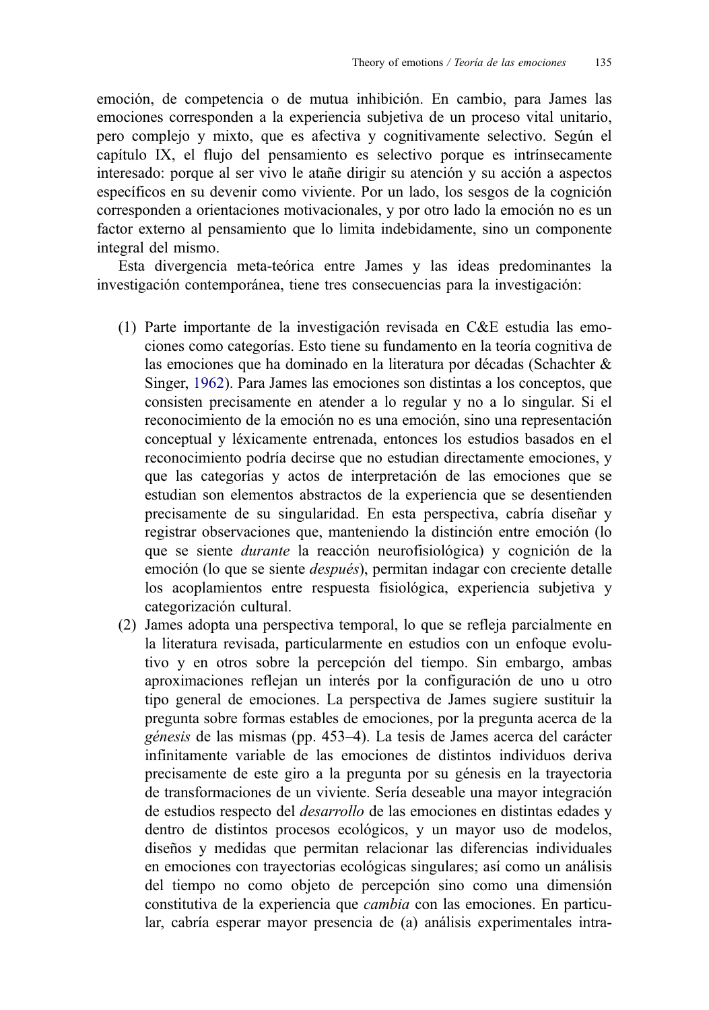emoción, de competencia o de mutua inhibición. En cambio, para James las emociones corresponden a la experiencia subjetiva de un proceso vital unitario, pero complejo y mixto, que es afectiva y cognitivamente selectivo. Según el capítulo IX, el flujo del pensamiento es selectivo porque es intrínsecamente interesado: porque al ser vivo le atañe dirigir su atención y su acción a aspectos específicos en su devenir como viviente. Por un lado, los sesgos de la cognición corresponden a orientaciones motivacionales, y por otro lado la emoción no es un factor externo al pensamiento que lo limita indebidamente, sino un componente integral del mismo.

Esta divergencia meta-teórica entre James y las ideas predominantes la investigación contemporánea, tiene tres consecuencias para la investigación:

- (1) Parte importante de la investigación revisada en C&E estudia las emociones como categorías. Esto tiene su fundamento en la teoría cognitiva de las emociones que ha dominado en la literatura por décadas (Schachter & Singer, [1962](#page-25-0)). Para James las emociones son distintas a los conceptos, que consisten precisamente en atender a lo regular y no a lo singular. Si el reconocimiento de la emoción no es una emoción, sino una representación conceptual y léxicamente entrenada, entonces los estudios basados en el reconocimiento podría decirse que no estudian directamente emociones, y que las categorías y actos de interpretación de las emociones que se estudian son elementos abstractos de la experiencia que se desentienden precisamente de su singularidad. En esta perspectiva, cabría diseñar y registrar observaciones que, manteniendo la distinción entre emoción (lo que se siente durante la reacción neurofisiológica) y cognición de la emoción (lo que se siente después), permitan indagar con creciente detalle los acoplamientos entre respuesta fisiológica, experiencia subjetiva y categorización cultural.
- (2) James adopta una perspectiva temporal, lo que se refleja parcialmente en la literatura revisada, particularmente en estudios con un enfoque evolutivo y en otros sobre la percepción del tiempo. Sin embargo, ambas aproximaciones reflejan un interés por la configuración de uno u otro tipo general de emociones. La perspectiva de James sugiere sustituir la pregunta sobre formas estables de emociones, por la pregunta acerca de la génesis de las mismas (pp. 453–4). La tesis de James acerca del carácter infinitamente variable de las emociones de distintos individuos deriva precisamente de este giro a la pregunta por su génesis en la trayectoria de transformaciones de un viviente. Sería deseable una mayor integración de estudios respecto del desarrollo de las emociones en distintas edades y dentro de distintos procesos ecológicos, y un mayor uso de modelos, diseños y medidas que permitan relacionar las diferencias individuales en emociones con trayectorias ecológicas singulares; así como un análisis del tiempo no como objeto de percepción sino como una dimensión constitutiva de la experiencia que cambia con las emociones. En particular, cabría esperar mayor presencia de (a) análisis experimentales intra-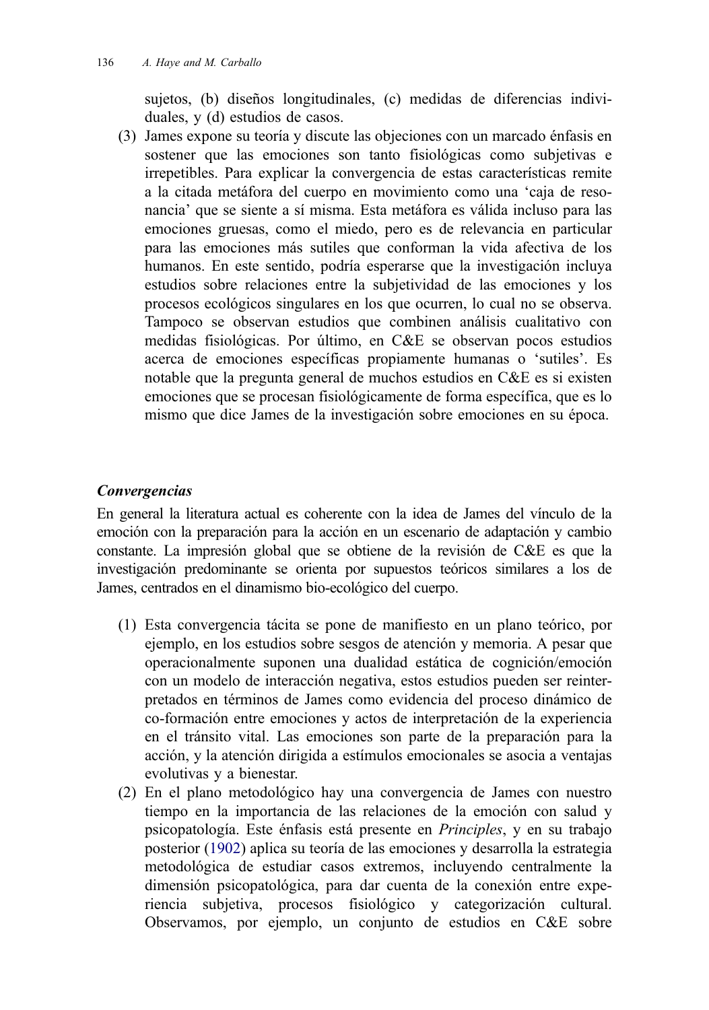sujetos, (b) diseños longitudinales, (c) medidas de diferencias individuales, y (d) estudios de casos.

(3) James expone su teoría y discute las objeciones con un marcado énfasis en sostener que las emociones son tanto fisiológicas como subjetivas e irrepetibles. Para explicar la convergencia de estas características remite a la citada metáfora del cuerpo en movimiento como una 'caja de resonancia' que se siente a sí misma. Esta metáfora es válida incluso para las emociones gruesas, como el miedo, pero es de relevancia en particular para las emociones más sutiles que conforman la vida afectiva de los humanos. En este sentido, podría esperarse que la investigación incluya estudios sobre relaciones entre la subjetividad de las emociones y los procesos ecológicos singulares en los que ocurren, lo cual no se observa. Tampoco se observan estudios que combinen análisis cualitativo con medidas fisiológicas. Por último, en C&E se observan pocos estudios acerca de emociones específicas propiamente humanas o 'sutiles'. Es notable que la pregunta general de muchos estudios en C&E es si existen emociones que se procesan fisiológicamente de forma específica, que es lo mismo que dice James de la investigación sobre emociones en su época.

# Convergencias

En general la literatura actual es coherente con la idea de James del vínculo de la emoción con la preparación para la acción en un escenario de adaptación y cambio constante. La impresión global que se obtiene de la revisión de C&E es que la investigación predominante se orienta por supuestos teóricos similares a los de James, centrados en el dinamismo bio-ecológico del cuerpo.

- (1) Esta convergencia tácita se pone de manifiesto en un plano teórico, por ejemplo, en los estudios sobre sesgos de atención y memoria. A pesar que operacionalmente suponen una dualidad estática de cognición/emoción con un modelo de interacción negativa, estos estudios pueden ser reinterpretados en términos de James como evidencia del proceso dinámico de co-formación entre emociones y actos de interpretación de la experiencia en el tránsito vital. Las emociones son parte de la preparación para la acción, y la atención dirigida a estímulos emocionales se asocia a ventajas evolutivas y a bienestar.
- (2) En el plano metodológico hay una convergencia de James con nuestro tiempo en la importancia de las relaciones de la emoción con salud y psicopatología. Este énfasis está presente en Principles, y en su trabajo posterior ([1902\)](#page-25-0) aplica su teoría de las emociones y desarrolla la estrategia metodológica de estudiar casos extremos, incluyendo centralmente la dimensión psicopatológica, para dar cuenta de la conexión entre experiencia subjetiva, procesos fisiológico y categorización cultural. Observamos, por ejemplo, un conjunto de estudios en C&E sobre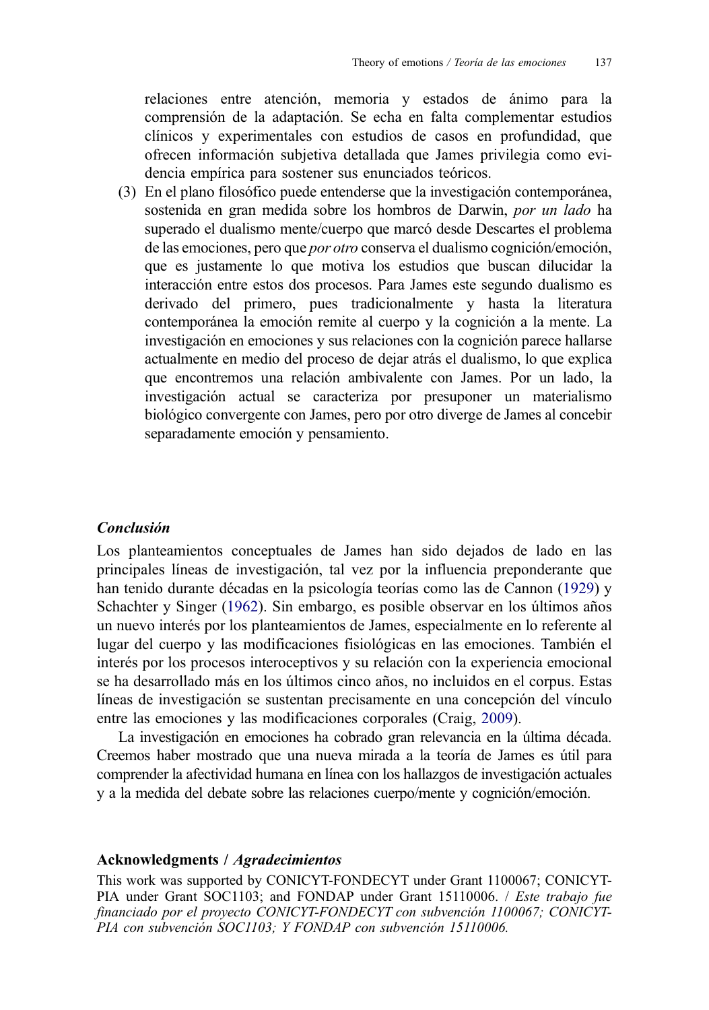relaciones entre atención, memoria y estados de ánimo para la comprensión de la adaptación. Se echa en falta complementar estudios clínicos y experimentales con estudios de casos en profundidad, que ofrecen información subjetiva detallada que James privilegia como evidencia empírica para sostener sus enunciados teóricos.

(3) En el plano filosófico puede entenderse que la investigación contemporánea, sostenida en gran medida sobre los hombros de Darwin, *por un lado* ha superado el dualismo mente/cuerpo que marcó desde Descartes el problema de las emociones, pero que por otro conserva el dualismo cognición/emoción, que es justamente lo que motiva los estudios que buscan dilucidar la interacción entre estos dos procesos. Para James este segundo dualismo es derivado del primero, pues tradicionalmente y hasta la literatura contemporánea la emoción remite al cuerpo y la cognición a la mente. La investigación en emociones y sus relaciones con la cognición parece hallarse actualmente en medio del proceso de dejar atrás el dualismo, lo que explica que encontremos una relación ambivalente con James. Por un lado, la investigación actual se caracteriza por presuponer un materialismo biológico convergente con James, pero por otro diverge de James al concebir separadamente emoción y pensamiento.

### Conclusión

Los planteamientos conceptuales de James han sido dejados de lado en las principales líneas de investigación, tal vez por la influencia preponderante que han tenido durante décadas en la psicología teorías como las de Cannon ([1929\)](#page-24-0) y Schachter y Singer ([1962\)](#page-25-0). Sin embargo, es posible observar en los últimos años un nuevo interés por los planteamientos de James, especialmente en lo referente al lugar del cuerpo y las modificaciones fisiológicas en las emociones. También el interés por los procesos interoceptivos y su relación con la experiencia emocional se ha desarrollado más en los últimos cinco años, no incluidos en el corpus. Estas líneas de investigación se sustentan precisamente en una concepción del vínculo entre las emociones y las modificaciones corporales (Craig, [2009\)](#page-24-0).

La investigación en emociones ha cobrado gran relevancia en la última década. Creemos haber mostrado que una nueva mirada a la teoría de James es útil para comprender la afectividad humana en línea con los hallazgos de investigación actuales y a la medida del debate sobre las relaciones cuerpo/mente y cognición/emoción.

#### Acknowledgments / Agradecimientos

This work was supported by CONICYT-FONDECYT under Grant 1100067; CONICYT-PIA under Grant SOC1103; and FONDAP under Grant 15110006. / Este trabajo fue financiado por el proyecto CONICYT-FONDECYT con subvención 1100067; CONICYT-PIA con subvención SOC1103; Y FONDAP con subvención 15110006.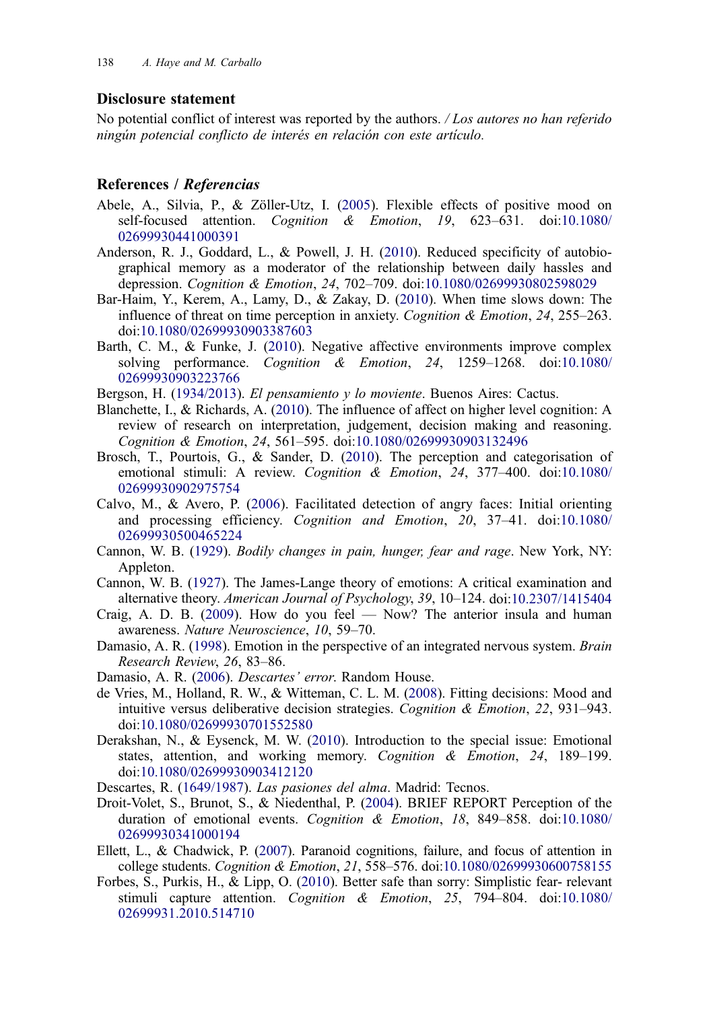#### <span id="page-24-0"></span>Disclosure statement

No potential conflict of interest was reported by the authors. / Los autores no han referido ningún potencial conflicto de interés en relación con este artículo.

#### References / Referencias

- Abele, A., Silvia, P., & Zöller-Utz, I. [\(2005](#page-6-0)). Flexible effects of positive mood on self-focused attention. Cognition & Emotion, 19, 623–631. doi:[10.1080/](http://dx.doi.org/10.1080/02699930441000391) [02699930441000391](http://dx.doi.org/10.1080/02699930441000391)
- Anderson, R. J., Goddard, L., & Powell, J. H. [\(2010](#page-8-0)). Reduced specificity of autobiographical memory as a moderator of the relationship between daily hassles and depression. Cognition & Emotion, 24, 702–709. doi:[10.1080/02699930802598029](http://dx.doi.org/10.1080/02699930802598029)
- Bar-Haim, Y., Kerem, A., Lamy, D., & Zakay, D. [\(2010](#page-7-0)). When time slows down: The influence of threat on time perception in anxiety. *Cognition & Emotion*,  $24$ ,  $255-263$ . doi:[10.1080/02699930903387603](http://dx.doi.org/10.1080/02699930903387603)
- Barth, C. M., & Funke, J. ([2010\)](#page-8-0). Negative affective environments improve complex solving performance. *Cognition & Emotion*, 24, 1259–1268. doi:[10.1080/](http://dx.doi.org/10.1080/02699930903223766) [02699930903223766](http://dx.doi.org/10.1080/02699930903223766)

Bergson, H. [\(1934/2013\)](#page-6-0). El pensamiento y lo moviente. Buenos Aires: Cactus.

- Blanchette, I., & Richards, A. ([2010\)](#page-8-0). The influence of affect on higher level cognition: A review of research on interpretation, judgement, decision making and reasoning. Cognition & Emotion, 24, 561–595. doi:[10.1080/02699930903132496](http://dx.doi.org/10.1080/02699930903132496)
- Brosch, T., Pourtois, G., & Sander, D. ([2010\)](#page-7-0). The perception and categorisation of emotional stimuli: A review. Cognition & Emotion, 24, 377-400. doi:[10.1080/](http://dx.doi.org/10.1080/02699930902975754) [02699930902975754](http://dx.doi.org/10.1080/02699930902975754)
- Calvo, M., & Avero, P. ([2006](#page-7-0)). Facilitated detection of angry faces: Initial orienting and processing efficiency. Cognition and Emotion, 20, 37–41. doi:[10.1080/](http://dx.doi.org/10.1080/02699930500465224) [02699930500465224](http://dx.doi.org/10.1080/02699930500465224)
- Cannon, W. B. [\(1929](#page-11-0)). Bodily changes in pain, hunger, fear and rage. New York, NY: Appleton.
- Cannon, W. B. ([1927\)](#page-2-0). The James-Lange theory of emotions: A critical examination and alternative theory. American Journal of Psychology, 39, 10–124. doi:[10.2307/1415404](http://dx.doi.org/10.2307/1415404)
- Craig, A. D. B.  $(2009)$  $(2009)$ . How do you feel Now? The anterior insula and human awareness. Nature Neuroscience, 10, 59–70.
- Damasio, A. R. ([1998\)](#page-7-0). Emotion in the perspective of an integrated nervous system. *Brain* Research Review, 26, 83–86.
- Damasio, A. R. ([2006\)](#page-7-0). Descartes' error. Random House.
- de Vries, M., Holland, R. W., & Witteman, C. L. M. [\(2008](#page-8-0)). Fitting decisions: Mood and intuitive versus deliberative decision strategies. Cognition & Emotion, 22, 931–943. doi:[10.1080/02699930701552580](http://dx.doi.org/10.1080/02699930701552580)
- Derakshan, N., & Eysenck, M. W. [\(2010](#page-8-0)). Introduction to the special issue: Emotional states, attention, and working memory. Cognition & Emotion, 24, 189–199. doi:[10.1080/02699930903412120](http://dx.doi.org/10.1080/02699930903412120)
- Descartes, R. [\(1649/1987\)](#page-2-0). Las pasiones del alma. Madrid: Tecnos.
- Droit-Volet, S., Brunot, S., & Niedenthal, P. [\(2004](#page-7-0)). BRIEF REPORT Perception of the duration of emotional events. Cognition & Emotion, 18, 849–858. doi:[10.1080/](http://dx.doi.org/10.1080/02699930341000194) [02699930341000194](http://dx.doi.org/10.1080/02699930341000194)
- Ellett, L., & Chadwick, P. [\(2007\)](#page-6-0). Paranoid cognitions, failure, and focus of attention in college students. Cognition & Emotion, 21, 558–576. doi:[10.1080/02699930600758155](http://dx.doi.org/10.1080/02699930600758155)
- Forbes, S., Purkis, H., & Lipp, O. ([2010\)](#page-6-0). Better safe than sorry: Simplistic fear- relevant stimuli capture attention. Cognition & Emotion, 25, 794-804. doi:[10.1080/](http://dx.doi.org/10.1080/02699931.2010.514710) [02699931.2010.514710](http://dx.doi.org/10.1080/02699931.2010.514710)